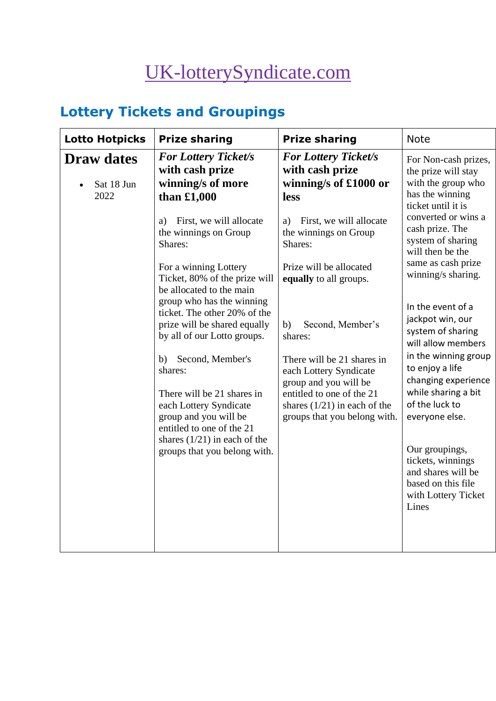# [UK-lotterySyndicate.com](http://www.uk-lotterysyndicate.com/)

## **Lottery Tickets and Groupings**

| <b>Lotto Hotpicks</b>                   | <b>Prize sharing</b>                                                                                            | <b>Prize sharing</b>                                                                                       | <b>Note</b>                                                                                                     |
|-----------------------------------------|-----------------------------------------------------------------------------------------------------------------|------------------------------------------------------------------------------------------------------------|-----------------------------------------------------------------------------------------------------------------|
| <b>Draw dates</b><br>Sat 18 Jun<br>2022 | <b>For Lottery Ticket/s</b><br>with cash prize<br>winning/s of more<br>than $£1,000$                            | <b>For Lottery Ticket/s</b><br>with cash prize<br>winning/s of £1000 or<br>less                            | For Non-cash prizes,<br>the prize will stay<br>with the group who<br>has the winning<br>ticket until it is      |
|                                         | First, we will allocate<br>a)<br>the winnings on Group<br>Shares:                                               | First, we will allocate<br>a)<br>the winnings on Group<br>Shares:                                          | converted or wins a<br>cash prize. The<br>system of sharing<br>will then be the                                 |
|                                         | For a winning Lottery<br>Ticket, 80% of the prize will<br>be allocated to the main<br>group who has the winning | Prize will be allocated<br>equally to all groups.                                                          | same as cash prize<br>winning/s sharing.                                                                        |
|                                         | ticket. The other 20% of the<br>prize will be shared equally<br>by all of our Lotto groups.                     | Second, Member's<br>b)<br>shares:                                                                          | In the event of a<br>jackpot win, our<br>system of sharing<br>will allow members                                |
|                                         | Second, Member's<br>b)<br>shares:<br>There will be 21 shares in                                                 | There will be 21 shares in<br>each Lottery Syndicate<br>group and you will be<br>entitled to one of the 21 | in the winning group<br>to enjoy a life<br>changing experience<br>while sharing a bit                           |
|                                         | each Lottery Syndicate<br>group and you will be<br>entitled to one of the 21                                    | shares $(1/21)$ in each of the<br>groups that you belong with.                                             | of the luck to<br>everyone else.                                                                                |
|                                         | shares $(1/21)$ in each of the<br>groups that you belong with.                                                  |                                                                                                            | Our groupings,<br>tickets, winnings<br>and shares will be<br>based on this file<br>with Lottery Ticket<br>Lines |
|                                         |                                                                                                                 |                                                                                                            |                                                                                                                 |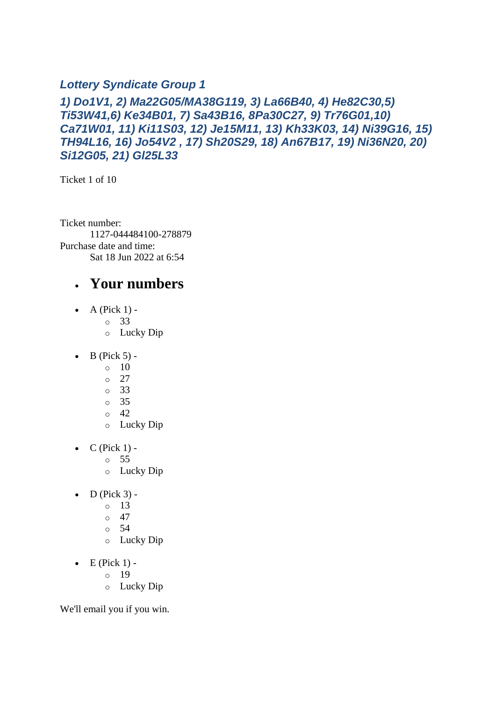#### *Lottery Syndicate Group 1*

#### *1) Do1V1, 2) Ma22G05/MA38G119, 3) La66B40, 4) He82C30,5) Ti53W41,6) Ke34B01, 7) Sa43B16, 8Pa30C27, 9) Tr76G01,10) Ca71W01, 11) Ki11S03, 12) Je15M11, 13) Kh33K03, 14) Ni39G16, 15) TH94L16, 16) Jo54V2 , 17) Sh20S29, 18) An67B17, 19) Ni36N20, 20) Si12G05, 21) Gl25L33*

Ticket 1 of 10

Ticket number: 1127-044484100-278879 Purchase date and time: Sat 18 Jun 2022 at 6:54

#### • **Your numbers**

- $\bullet$  A (Pick 1)
	- o 33
	- o Lucky Dip
- $\bullet$  B (Pick 5) -
	- $\circ$  10
	- $\circ$  27
	- o 33
	- o 35
	- $\circ$  42
	- o Lucky Dip
- $\bullet$  C (Pick 1)
	- o 55
	- o Lucky Dip
- $D$  (Pick 3)
	- o 13
	- $\circ$  47
	- o 54
	- o Lucky Dip
- $\bullet$  E (Pick 1)
	- o 19
	- o Lucky Dip

We'll email you if you win.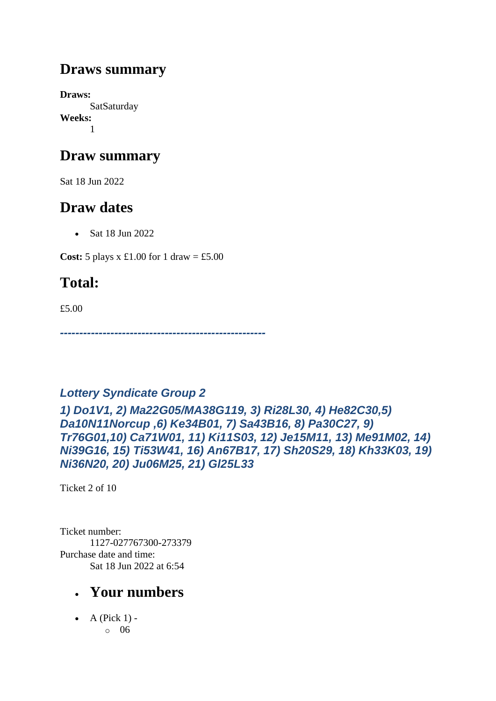### **Draws summary**

**Draws: SatSaturday Weeks:** 1

### **Draw summary**

Sat 18 Jun 2022

### **Draw dates**

• Sat 18 Jun 2022

**Cost:** 5 plays x £1.00 for 1 draw = £5.00

## **Total:**

£5.00

*-----------------------------------------------------*

### *Lottery Syndicate Group 2*

*1) Do1V1, 2) Ma22G05/MA38G119, 3) Ri28L30, 4) He82C30,5) Da10N11Norcup ,6) Ke34B01, 7) Sa43B16, 8) Pa30C27, 9) Tr76G01,10) Ca71W01, 11) Ki11S03, 12) Je15M11, 13) Me91M02, 14) Ni39G16, 15) Ti53W41, 16) An67B17, 17) Sh20S29, 18) Kh33K03, 19) Ni36N20, 20) Ju06M25, 21) Gl25L33*

Ticket 2 of 10

Ticket number: 1127-027767300-273379 Purchase date and time: Sat 18 Jun 2022 at 6:54

### • **Your numbers**

 $\bullet$  A (Pick 1) o 06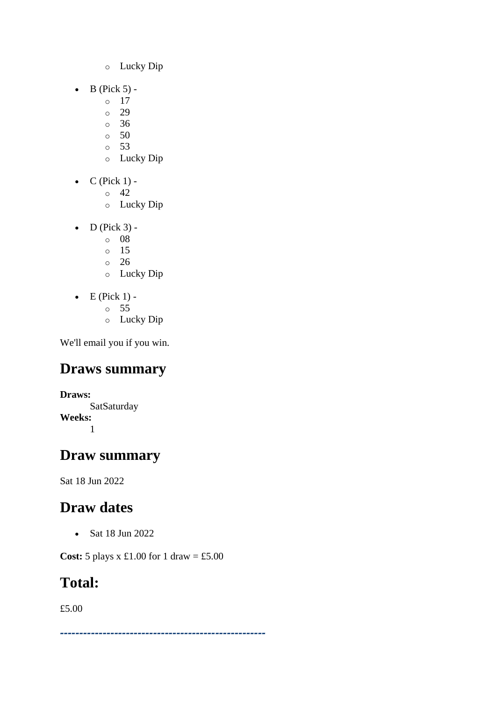- o Lucky Dip
- $\bullet$  B (Pick 5)
	- o 17
	- o 29
	- o 36
	- o 50 o 53
	- o Lucky Dip
- $\bullet$  C (Pick 1) -
	- $\circ$  42
	- o Lucky Dip
- $\bullet$  D (Pick 3)
	- o 08
	- o 15
	- o 26
	- o Lucky Dip
- $\bullet$  E (Pick 1)
	- o 55
	- o Lucky Dip

## **Draws summary**

**Draws: SatSaturday Weeks:** 1

### **Draw summary**

Sat 18 Jun 2022

## **Draw dates**

• Sat 18 Jun 2022

**Cost:** 5 plays x £1.00 for 1 draw = £5.00

### **Total:**

£5.00

*-----------------------------------------------------*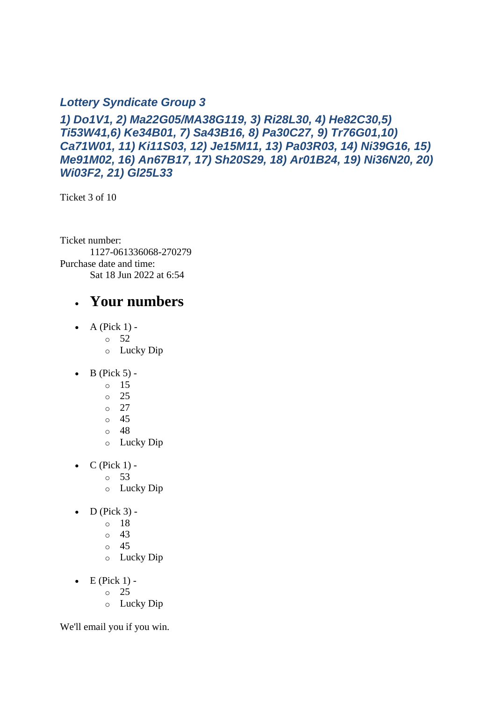#### *Lottery Syndicate Group 3*

*1) Do1V1, 2) Ma22G05/MA38G119, 3) Ri28L30, 4) He82C30,5) Ti53W41,6) Ke34B01, 7) Sa43B16, 8) Pa30C27, 9) Tr76G01,10) Ca71W01, 11) Ki11S03, 12) Je15M11, 13) Pa03R03, 14) Ni39G16, 15) Me91M02, 16) An67B17, 17) Sh20S29, 18) Ar01B24, 19) Ni36N20, 20) Wi03F2, 21) Gl25L33*

Ticket 3 of 10

Ticket number: 1127-061336068-270279 Purchase date and time: Sat 18 Jun 2022 at 6:54

#### • **Your numbers**

- $\bullet$  A (Pick 1) -
	- $\circ$  52
	- o Lucky Dip
- $\bullet$  B (Pick 5)
	- o 15
	- o 25
	- o 27
	- o 45
	- o 48
	- o Lucky Dip
- $C$  (Pick 1) -
	- $\circ$  53
	- o Lucky Dip
- $\bullet$  D (Pick 3)
	- o 18
	- o 43
	- o 45
	- o Lucky Dip
- $\bullet$  E (Pick 1)
	- o 25
	- o Lucky Dip

We'll email you if you win.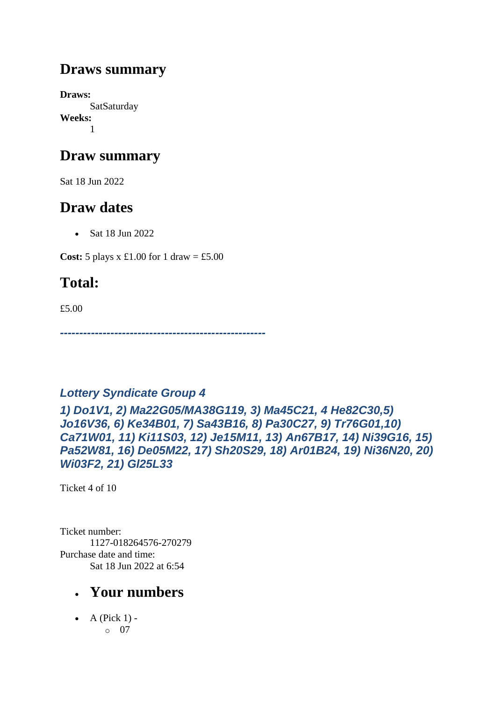### **Draws summary**

**Draws: SatSaturday Weeks:** 1

### **Draw summary**

Sat 18 Jun 2022

### **Draw dates**

• Sat 18 Jun 2022

**Cost:** 5 plays x £1.00 for 1 draw = £5.00

## **Total:**

£5.00

*-----------------------------------------------------*

### *Lottery Syndicate Group 4*

*1) Do1V1, 2) Ma22G05/MA38G119, 3) Ma45C21, 4 He82C30,5) Jo16V36, 6) Ke34B01, 7) Sa43B16, 8) Pa30C27, 9) Tr76G01,10) Ca71W01, 11) Ki11S03, 12) Je15M11, 13) An67B17, 14) Ni39G16, 15) Pa52W81, 16) De05M22, 17) Sh20S29, 18) Ar01B24, 19) Ni36N20, 20) Wi03F2, 21) Gl25L33*

Ticket 4 of 10

Ticket number: 1127-018264576-270279 Purchase date and time: Sat 18 Jun 2022 at 6:54

### • **Your numbers**

 $\bullet$  A (Pick 1) o 07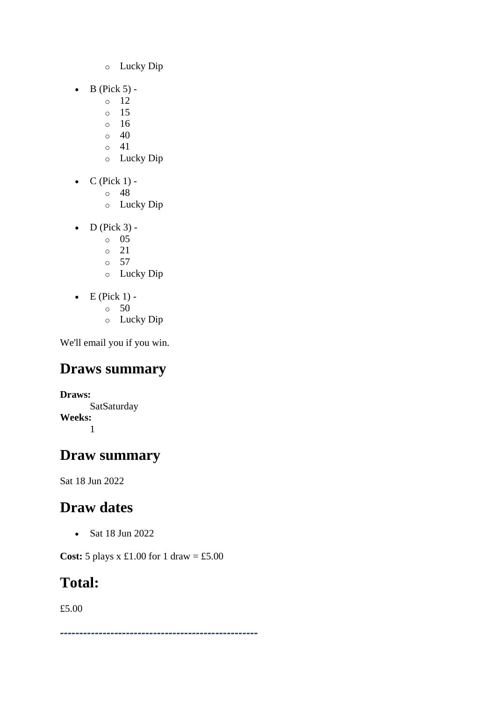- o Lucky Dip
- $\bullet$  B (Pick 5)
	- o 12
	- o 15
	- o 16
	- $\circ$  40
	- $\circ$  41
	- o Lucky Dip
- $\bullet$  C (Pick 1)
	- o 48
	- o Lucky Dip
- $\bullet$  D (Pick 3)
	- o 05
	- $\degree$  21
	- o 57
	- o Lucky Dip
- $\bullet$  E (Pick 1) -
	- $\circ$  50
	- o Lucky Dip

### **Draws summary**

**Draws: SatSaturday Weeks:** 1

### **Draw summary**

Sat 18 Jun 2022

### **Draw dates**

• Sat 18 Jun 2022

**Cost:** 5 plays x £1.00 for 1 draw = £5.00

### **Total:**

£5.00

*---------------------------------------------------*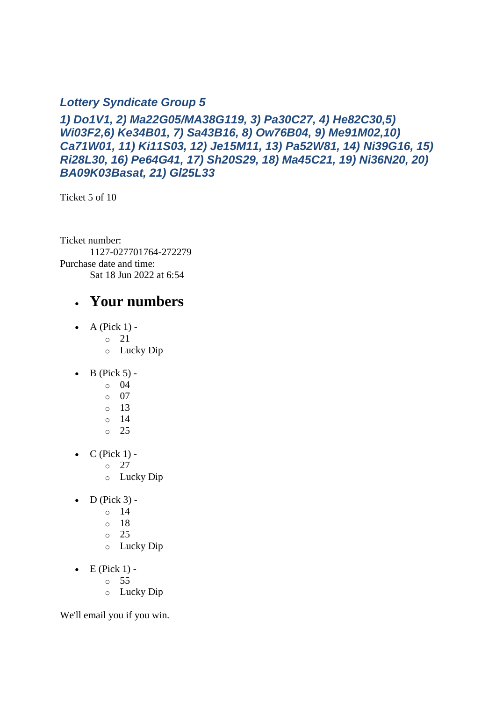#### *Lottery Syndicate Group 5*

*1) Do1V1, 2) Ma22G05/MA38G119, 3) Pa30C27, 4) He82C30,5) Wi03F2,6) Ke34B01, 7) Sa43B16, 8) Ow76B04, 9) Me91M02,10) Ca71W01, 11) Ki11S03, 12) Je15M11, 13) Pa52W81, 14) Ni39G16, 15) Ri28L30, 16) Pe64G41, 17) Sh20S29, 18) Ma45C21, 19) Ni36N20, 20) BA09K03Basat, 21) Gl25L33*

Ticket 5 of 10

Ticket number: 1127-027701764-272279 Purchase date and time: Sat 18 Jun 2022 at 6:54

#### • **Your numbers**

- $\bullet$  A (Pick 1)
	- o 21
	- o Lucky Dip
- $\bullet$  B (Pick 5)
	- o 04
	- o 07
	- o 13
	- o 14
	- o 25
- $\bullet$  C (Pick 1) -
	- $\circ$  27
	- o Lucky Dip
- $\bullet$  D (Pick 3) -
	- $\circ$  14
	- o 18
	- o 25
	- o Lucky Dip
- $\bullet$  E (Pick 1)
	- o 55
	- o Lucky Dip

We'll email you if you win.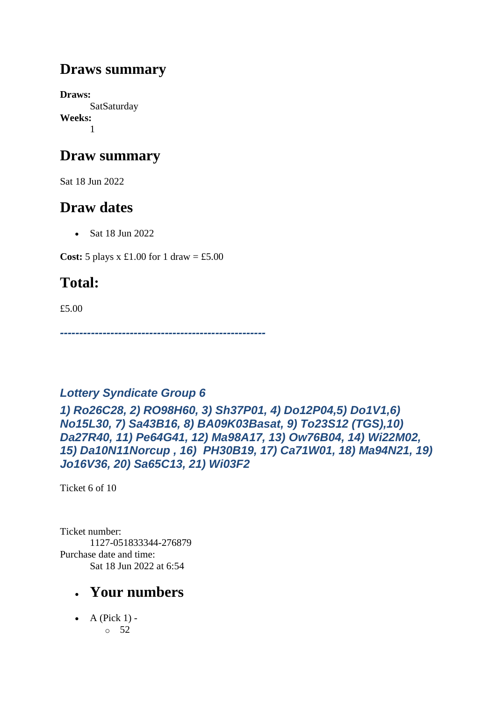### **Draws summary**

**Draws: SatSaturday Weeks:** 1

### **Draw summary**

Sat 18 Jun 2022

### **Draw dates**

• Sat 18 Jun 2022

**Cost:** 5 plays x £1.00 for 1 draw = £5.00

## **Total:**

£5.00

*-----------------------------------------------------*

#### *Lottery Syndicate Group 6*

*1) Ro26C28, 2) RO98H60, 3) Sh37P01, 4) Do12P04,5) Do1V1,6) No15L30, 7) Sa43B16, 8) BA09K03Basat, 9) To23S12 (TGS),10) Da27R40, 11) Pe64G41, 12) Ma98A17, 13) Ow76B04, 14) Wi22M02, 15) Da10N11Norcup , 16) PH30B19, 17) Ca71W01, 18) Ma94N21, 19) Jo16V36, 20) Sa65C13, 21) Wi03F2*

Ticket 6 of 10

Ticket number: 1127-051833344-276879 Purchase date and time: Sat 18 Jun 2022 at 6:54

### • **Your numbers**

 $\bullet$  A (Pick 1) o 52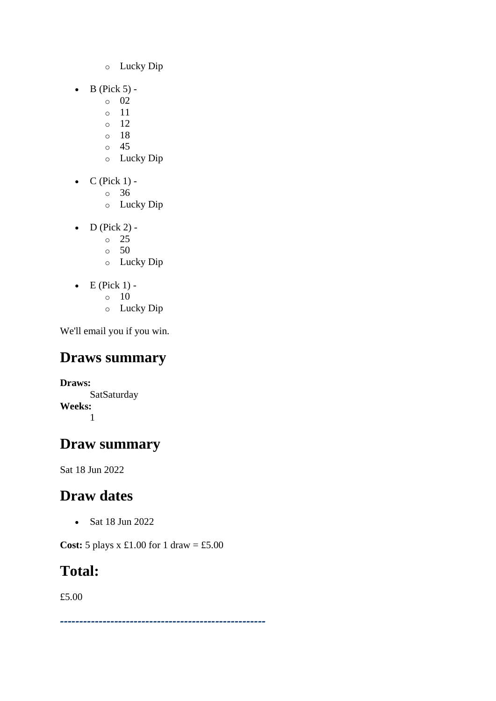- o Lucky Dip
- $\bullet$  B (Pick 5)
	- o 02
	- o 11
	- $\circ$  12
	- o 18 o 45
	- o Lucky Dip
- $\bullet$  C (Pick 1)
	- o 36
	- o Lucky Dip
- $\bullet$  D (Pick 2) -
	- $\circ$  25
	- $\circ$  50
	- o Lucky Dip
- $\bullet$  E (Pick 1) -
	- $\circ$  10
	- o Lucky Dip

## **Draws summary**

**Draws: SatSaturday Weeks:** 1

## **Draw summary**

Sat 18 Jun 2022

## **Draw dates**

• Sat 18 Jun 2022

**Cost:** 5 plays x £1.00 for 1 draw = £5.00

## **Total:**

£5.00

*-----------------------------------------------------*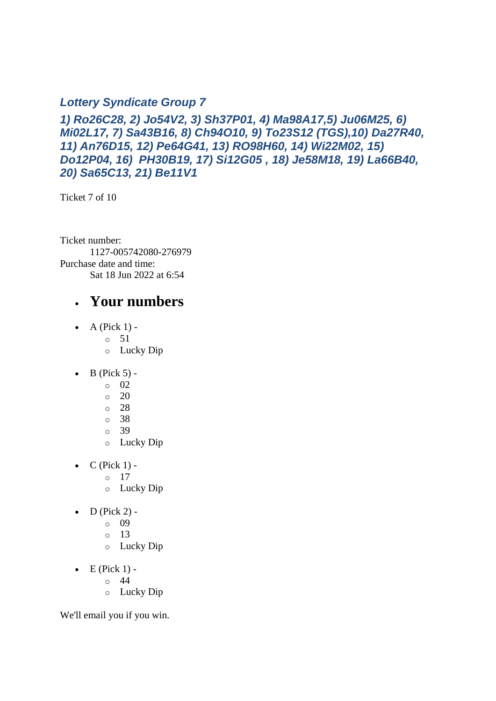#### *Lottery Syndicate Group 7*

*1) Ro26C28, 2) Jo54V2, 3) Sh37P01, 4) Ma98A17,5) Ju06M25, 6) Mi02L17, 7) Sa43B16, 8) Ch94O10, 9) To23S12 (TGS),10) Da27R40, 11) An76D15, 12) Pe64G41, 13) RO98H60, 14) Wi22M02, 15) Do12P04, 16) PH30B19, 17) Si12G05 , 18) Je58M18, 19) La66B40, 20) Sa65C13, 21) Be11V1*

Ticket 7 of 10

Ticket number: 1127-005742080-276979 Purchase date and time: Sat 18 Jun 2022 at 6:54

#### • **Your numbers**

- $\bullet$  A (Pick 1) -
	- $\circ$  51
	- o Lucky Dip
- $\bullet$  B (Pick 5)
	- o 02
	- $\circ$  20
	- o 28
	- o 38
	- o 39
	- o Lucky Dip
- $C$  (Pick 1) -
	- $\circ$  17
	- o Lucky Dip
- $\bullet$  D (Pick 2)
	- o 09
	- o 13
	- o Lucky Dip
- $\bullet$  E (Pick 1)
	- o 44
	- o Lucky Dip

We'll email you if you win.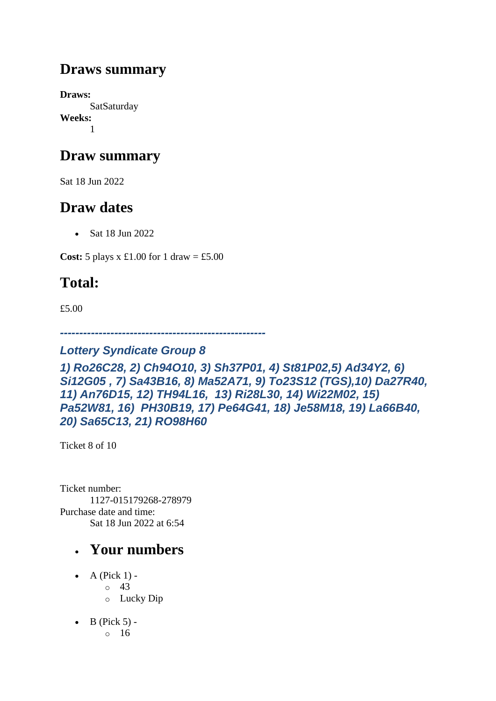### **Draws summary**

**Draws: SatSaturday Weeks:** 1

### **Draw summary**

Sat 18 Jun 2022

### **Draw dates**

• Sat 18 Jun 2022

**Cost:** 5 plays x £1.00 for 1 draw = £5.00

## **Total:**

£5.00

*-----------------------------------------------------*

#### *Lottery Syndicate Group 8*

*1) Ro26C28, 2) Ch94O10, 3) Sh37P01, 4) St81P02,5) Ad34Y2, 6) Si12G05 , 7) Sa43B16, 8) Ma52A71, 9) To23S12 (TGS),10) Da27R40, 11) An76D15, 12) TH94L16, 13) Ri28L30, 14) Wi22M02, 15) Pa52W81, 16) PH30B19, 17) Pe64G41, 18) Je58M18, 19) La66B40, 20) Sa65C13, 21) RO98H60*

Ticket 8 of 10

Ticket number: 1127-015179268-278979 Purchase date and time: Sat 18 Jun 2022 at 6:54

- A (Pick  $1$ )
	- o 43
	- o Lucky Dip
- $\bullet$  B (Pick 5)
	- o 16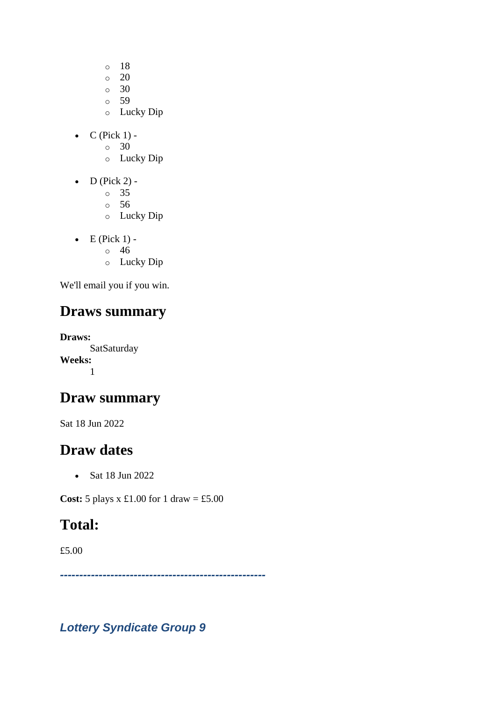- o 18
- $\circ$  20
- o 30
- $\circ$  59
- o Lucky Dip
- $\bullet$  C (Pick 1) -
	- $\circ$  30
	- o Lucky Dip
- $\bullet$  D (Pick 2) -
	- $\circ$  35
	- o 56
	- o Lucky Dip
- $\bullet$  E (Pick 1)
	- o 46
	- o Lucky Dip

## **Draws summary**

**Draws: SatSaturday Weeks:** 1

### **Draw summary**

Sat 18 Jun 2022

### **Draw dates**

• Sat 18 Jun 2022

**Cost:** 5 plays x £1.00 for 1 draw = £5.00

## **Total:**

£5.00

*-----------------------------------------------------*

*Lottery Syndicate Group 9*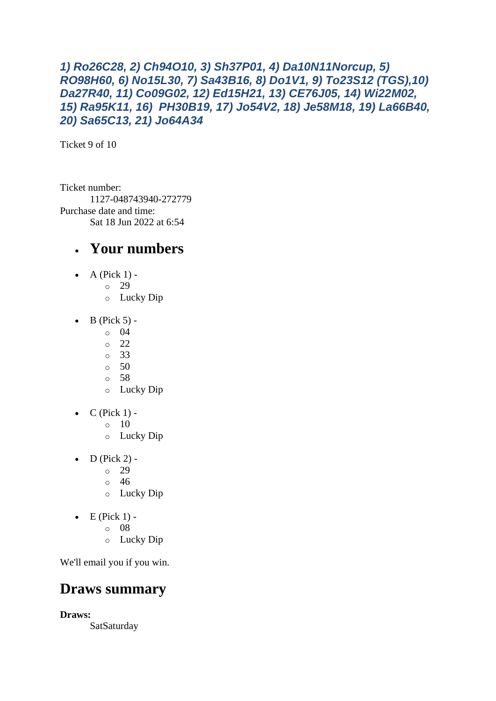#### *1) Ro26C28, 2) Ch94O10, 3) Sh37P01, 4) Da10N11Norcup, 5) RO98H60, 6) No15L30, 7) Sa43B16, 8) Do1V1, 9) To23S12 (TGS),10) Da27R40, 11) Co09G02, 12) Ed15H21, 13) CE76J05, 14) Wi22M02, 15) Ra95K11, 16) PH30B19, 17) Jo54V2, 18) Je58M18, 19) La66B40, 20) Sa65C13, 21) Jo64A34*

Ticket 9 of 10

Ticket number: 1127-048743940-272779 Purchase date and time: Sat 18 Jun 2022 at 6:54

#### • **Your numbers**

- A (Pick  $1$ ) -
	- $\circ$  29
		- o Lucky Dip
- $\bullet$  B (Pick 5) -
	- $\circ$  04
		- $\degree$  22
		- o 33
		- o 50
		- o 58
		- o Lucky Dip
- $\bullet$  C (Pick 1) -
	- $\circ$  10
	- o Lucky Dip
- $D$  (Pick 2) -
	- $\degree$  29
	- $\circ$  46
	- o Lucky Dip
- $\bullet$  E (Pick 1)
	- o 08
	- o Lucky Dip

We'll email you if you win.

### **Draws summary**

**Draws:**

SatSaturday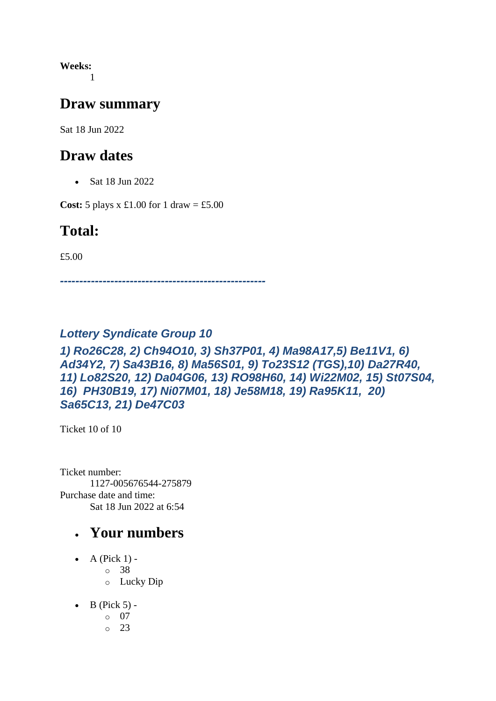**Weeks:** 1

#### **Draw summary**

Sat 18 Jun 2022

#### **Draw dates**

• Sat 18 Jun 2022

**Cost:** 5 plays x £1.00 for 1 draw = £5.00

#### **Total:**

£5.00

*-----------------------------------------------------*

#### *Lottery Syndicate Group 10*

#### *1) Ro26C28, 2) Ch94O10, 3) Sh37P01, 4) Ma98A17,5) Be11V1, 6) Ad34Y2, 7) Sa43B16, 8) Ma56S01, 9) To23S12 (TGS),10) Da27R40, 11) Lo82S20, 12) Da04G06, 13) RO98H60, 14) Wi22M02, 15) St07S04, 16) PH30B19, 17) Ni07M01, 18) Je58M18, 19) Ra95K11, 20) Sa65C13, 21) De47C03*

Ticket 10 of 10

Ticket number: 1127-005676544-275879 Purchase date and time: Sat 18 Jun 2022 at 6:54

- A (Pick  $1$ )
	- o 38
	- o Lucky Dip
- $\bullet$  B (Pick 5) -
	- $\circ$  07
	- o 23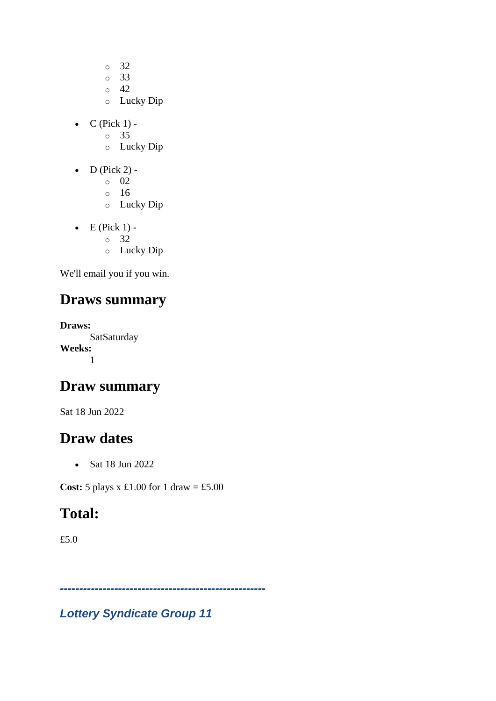- o 32
- o 33
- o 42
- o Lucky Dip
- $\bullet$  C (Pick 1)
	- o 35
	- o Lucky Dip
- $\bullet$  D (Pick 2)
	- o 02
	- o 16
	- o Lucky Dip
- $\bullet$  E (Pick 1)
	- o 32
	- o Lucky Dip

### **Draws summary**

**Draws: SatSaturday Weeks:** 1

### **Draw summary**

Sat 18 Jun 2022

### **Draw dates**

• Sat 18 Jun 2022

**Cost:**  $5$  plays x  $\pounds1.00$  for  $1$  draw =  $\pounds5.00$ 

## **Total:**

£5.0

*Lottery Syndicate Group 11*

*-----------------------------------------------------*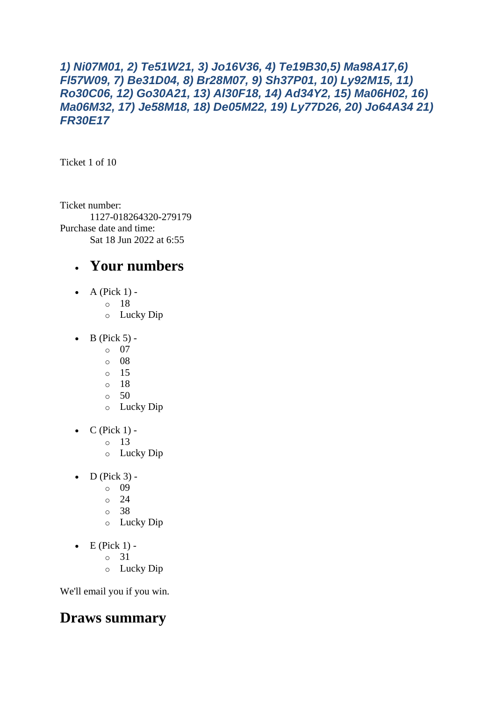#### *1) Ni07M01, 2) Te51W21, 3) Jo16V36, 4) Te19B30,5) Ma98A17,6) Fl57W09, 7) Be31D04, 8) Br28M07, 9) Sh37P01, 10) Ly92M15, 11) Ro30C06, 12) Go30A21, 13) Al30F18, 14) Ad34Y2, 15) Ma06H02, 16) Ma06M32, 17) Je58M18, 18) De05M22, 19) Ly77D26, 20) Jo64A34 21) FR30E17*

Ticket 1 of 10

Ticket number: 1127-018264320-279179 Purchase date and time: Sat 18 Jun 2022 at 6:55

### • **Your numbers**

- A (Pick  $1$ )
	- o 18
		- o Lucky Dip
- $\bullet$  B (Pick 5)
	- o 07
	- o 08
	- o 15
	- o 18
	- o 50
	- o Lucky Dip
- $\bullet$  C (Pick 1)
	- o 13
	- o Lucky Dip
- $\bullet$  D (Pick 3)
	- o 09
	- $\degree$  24
	- o 38
	- o Lucky Dip
- $\bullet$  E (Pick 1)
	- o 31
	- o Lucky Dip

We'll email you if you win.

### **Draws summary**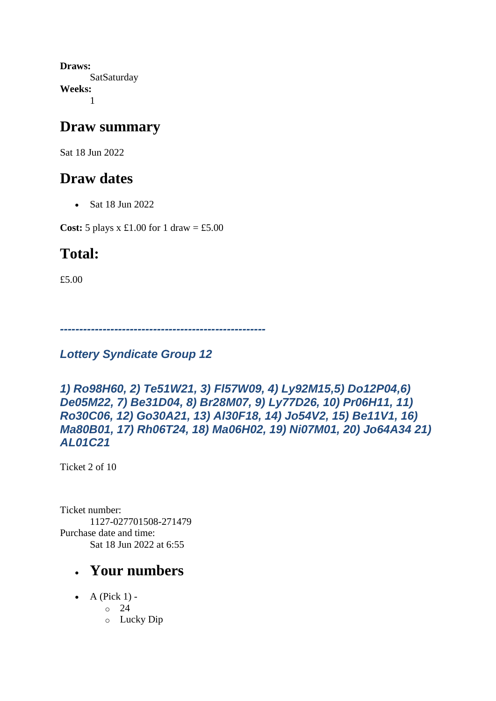**Draws: SatSaturday Weeks:** 1

#### **Draw summary**

Sat 18 Jun 2022

### **Draw dates**

• Sat 18 Jun 2022

**Cost:** 5 plays x £1.00 for 1 draw = £5.00

## **Total:**

£5.00

*-----------------------------------------------------*

*Lottery Syndicate Group 12*

```
1) Ro98H60, 2) Te51W21, 3) Fl57W09, 4) Ly92M15,5) Do12P04,6) 
De05M22, 7) Be31D04, 8) Br28M07, 9) Ly77D26, 10) Pr06H11, 11) 
Ro30C06, 12) Go30A21, 13) Al30F18, 14) Jo54V2, 15) Be11V1, 16) 
Ma80B01, 17) Rh06T24, 18) Ma06H02, 19) Ni07M01, 20) Jo64A34 21) 
AL01C21
```
Ticket 2 of 10

Ticket number: 1127-027701508-271479 Purchase date and time: Sat 18 Jun 2022 at 6:55

- $\bullet$  A (Pick 1) -
	- $\degree$  24
		- o Lucky Dip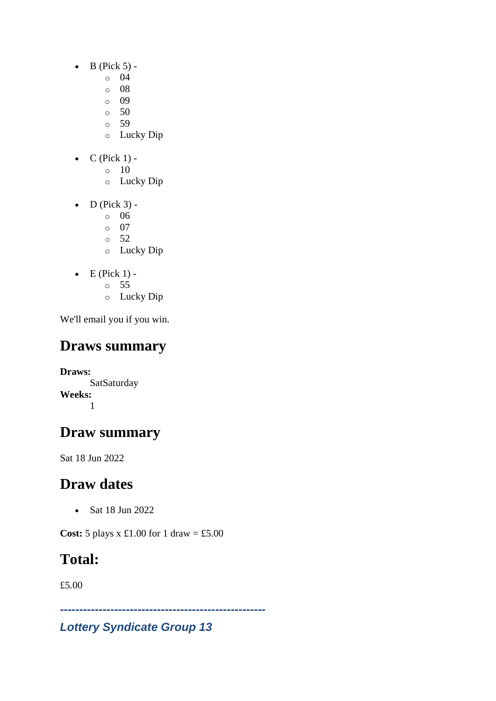- $\bullet$  B (Pick 5)
	- o 04
	- o 08
	- o 09
	- o 50
	- o 59
	- o Lucky Dip
- $C$  (Pick 1) -
	- $\circ$  10
		- o Lucky Dip
- $\bullet$  D (Pick 3)
	- o 06
	- o 07
	- o 52
	- o Lucky Dip
- $\bullet$  E (Pick 1)
	- o 55
	- o Lucky Dip

## **Draws summary**

**Draws: SatSaturday Weeks:** 1

## **Draw summary**

Sat 18 Jun 2022

## **Draw dates**

• Sat 18 Jun 2022

**Cost:** 5 plays x £1.00 for 1 draw = £5.00

## **Total:**

£5.00

*-----------------------------------------------------*

### *Lottery Syndicate Group 13*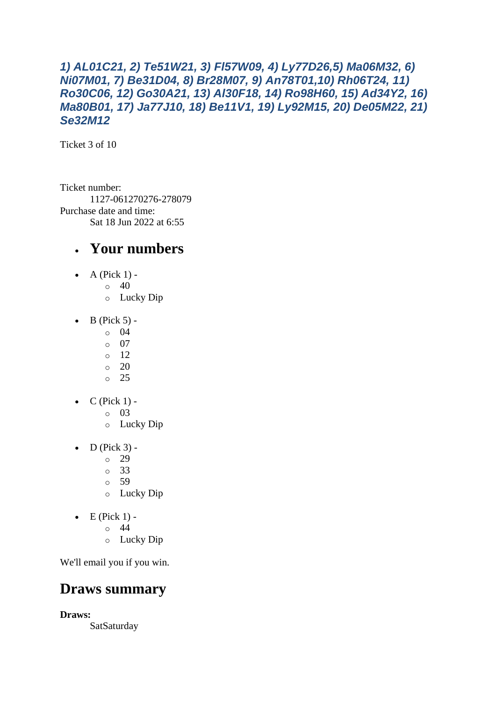#### *1) AL01C21, 2) Te51W21, 3) Fl57W09, 4) Ly77D26,5) Ma06M32, 6) Ni07M01, 7) Be31D04, 8) Br28M07, 9) An78T01,10) Rh06T24, 11) Ro30C06, 12) Go30A21, 13) Al30F18, 14) Ro98H60, 15) Ad34Y2, 16) Ma80B01, 17) Ja77J10, 18) Be11V1, 19) Ly92M15, 20) De05M22, 21) Se32M12*

Ticket 3 of 10

Ticket number: 1127-061270276-278079 Purchase date and time: Sat 18 Jun 2022 at 6:55

#### • **Your numbers**

- A (Pick  $1$ ) -
	- $\circ$  40
		- o Lucky Dip
- $\bullet$  B (Pick 5) -
	- $\circ$  04
		- $\circ$  07
		- o 12
		- $\circ$  20 o 25
- $\bullet$  C (Pick 1)
	- o 03
	- o Lucky Dip
- $\bullet$  D (Pick 3) -
	- $\circ$  29
	- o 33
	- o 59
	- o Lucky Dip
- $\bullet$  E (Pick 1)
	- o 44
	- o Lucky Dip

We'll email you if you win.

### **Draws summary**

**Draws:**

**SatSaturday**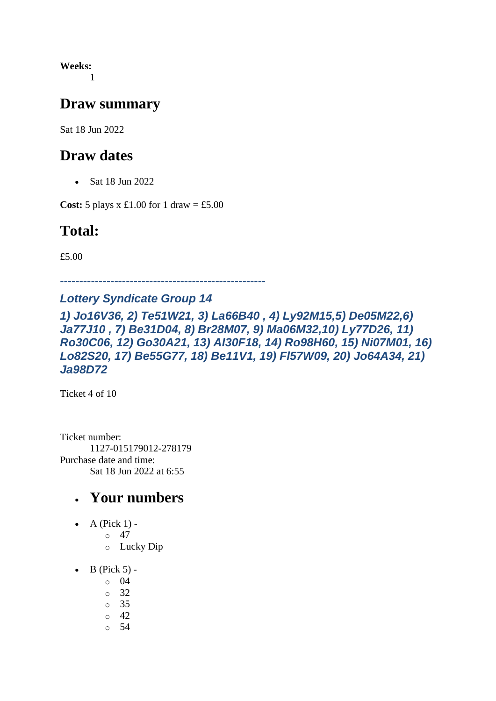**Weeks:** 1

#### **Draw summary**

Sat 18 Jun 2022

#### **Draw dates**

• Sat 18 Jun 2022

**Cost:**  $5$  plays x £1.00 for 1 draw = £5.00

### **Total:**

£5.00

*-----------------------------------------------------*

#### *Lottery Syndicate Group 14*

*1) Jo16V36, 2) Te51W21, 3) La66B40 , 4) Ly92M15,5) De05M22,6) Ja77J10 , 7) Be31D04, 8) Br28M07, 9) Ma06M32,10) Ly77D26, 11) Ro30C06, 12) Go30A21, 13) Al30F18, 14) Ro98H60, 15) Ni07M01, 16) Lo82S20, 17) Be55G77, 18) Be11V1, 19) Fl57W09, 20) Jo64A34, 21) Ja98D72*

Ticket 4 of 10

Ticket number: 1127-015179012-278179 Purchase date and time: Sat 18 Jun 2022 at 6:55

- $\bullet$  A (Pick 1) -
	- $\circ$  47
		- o Lucky Dip
- $\bullet$  B (Pick 5) -
	- $\circ$  04
	- o 32
	- o 35
	- $\circ$  42
	- o 54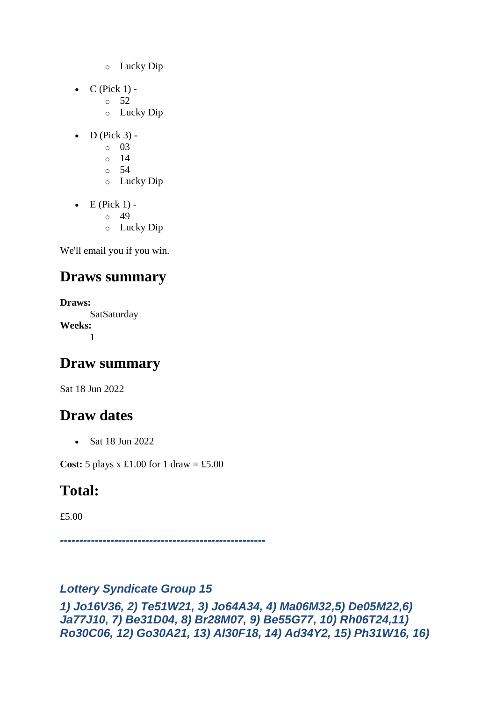- o Lucky Dip
- $\bullet$  C (Pick 1) -
	- $\circ$  52
	- o Lucky Dip
- $\bullet$  D (Pick 3) -
	- $\circ$  03
	- o 14
	- o 54
	- o Lucky Dip
- $\bullet$  E (Pick 1) -
	- $\circ$  49
	- o Lucky Dip

### **Draws summary**

```
Draws:
      SatSaturday
Weeks:
      1
```
### **Draw summary**

Sat 18 Jun 2022

## **Draw dates**

• Sat 18 Jun 2022

**Cost:**  $5$  plays x  $\pounds1.00$  for  $1$  draw =  $\pounds5.00$ 

## **Total:**

£5.00

*-----------------------------------------------------*

### *Lottery Syndicate Group 15*

```
1) Jo16V36, 2) Te51W21, 3) Jo64A34, 4) Ma06M32,5) De05M22,6) 
Ja77J10, 7) Be31D04, 8) Br28M07, 9) Be55G77, 10) Rh06T24,11) 
Ro30C06, 12) Go30A21, 13) Al30F18, 14) Ad34Y2, 15) Ph31W16, 16)
```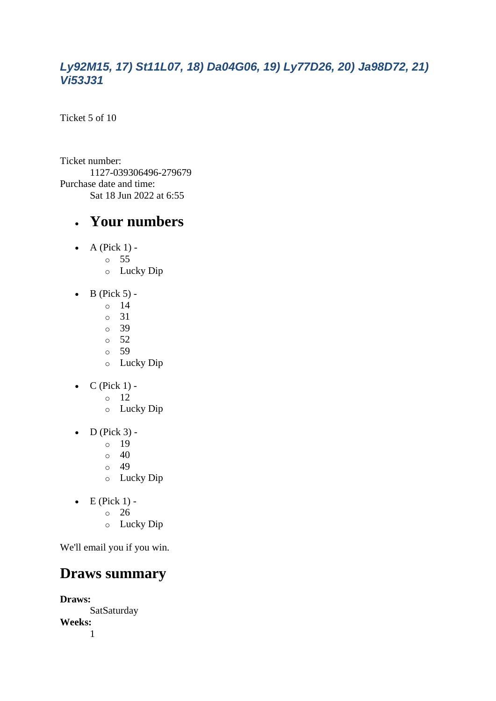#### *Ly92M15, 17) St11L07, 18) Da04G06, 19) Ly77D26, 20) Ja98D72, 21) Vi53J31*

Ticket 5 of 10

Ticket number: 1127-039306496-279679 Purchase date and time: Sat 18 Jun 2022 at 6:55

#### • **Your numbers**

- $\bullet$  A (Pick 1)
	- o 55
	- o Lucky Dip
- $\bullet$  B (Pick 5)
	- o 14
	- o 31
	- o 39
	- o 52 o 59
	- o Lucky Dip
- $\bullet$  C (Pick 1) -
	- $\circ$  12
	- o Lucky Dip
- $\bullet$  D (Pick 3)
	- o 19
	- $\circ$  40
	- o 49
	- o Lucky Dip
- $\bullet$  E (Pick 1)
	- o 26
		- o Lucky Dip

We'll email you if you win.

### **Draws summary**

**Draws: SatSaturday Weeks:** 1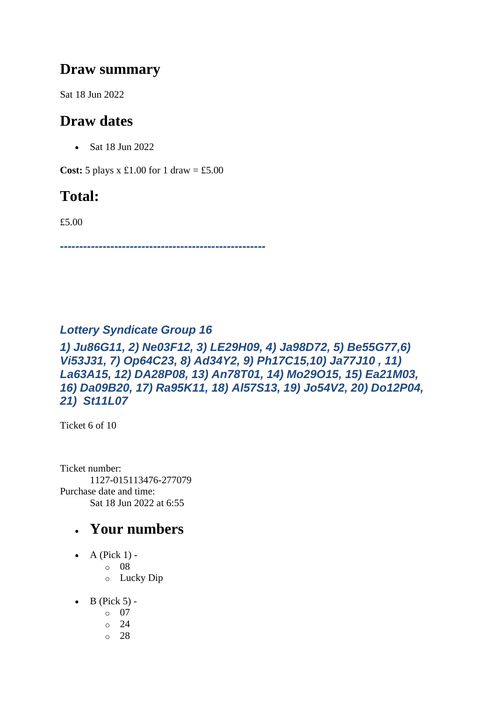#### **Draw summary**

Sat 18 Jun 2022

### **Draw dates**

• Sat 18 Jun 2022

**Cost:**  $5$  plays x £1.00 for 1 draw = £5.00

### **Total:**

£5.00

*-----------------------------------------------------*

#### *Lottery Syndicate Group 16*

*1) Ju86G11, 2) Ne03F12, 3) LE29H09, 4) Ja98D72, 5) Be55G77,6) Vi53J31, 7) Op64C23, 8) Ad34Y2, 9) Ph17C15,10) Ja77J10 , 11) La63A15, 12) DA28P08, 13) An78T01, 14) Mo29O15, 15) Ea21M03, 16) Da09B20, 17) Ra95K11, 18) Al57S13, 19) Jo54V2, 20) Do12P04, 21) St11L07*

Ticket 6 of 10

Ticket number: 1127-015113476-277079 Purchase date and time: Sat 18 Jun 2022 at 6:55

- $\bullet$  A (Pick 1)
	- o 08
		- o Lucky Dip
- $\bullet$  B (Pick 5)
	- o 07
	- o 24
	- o 28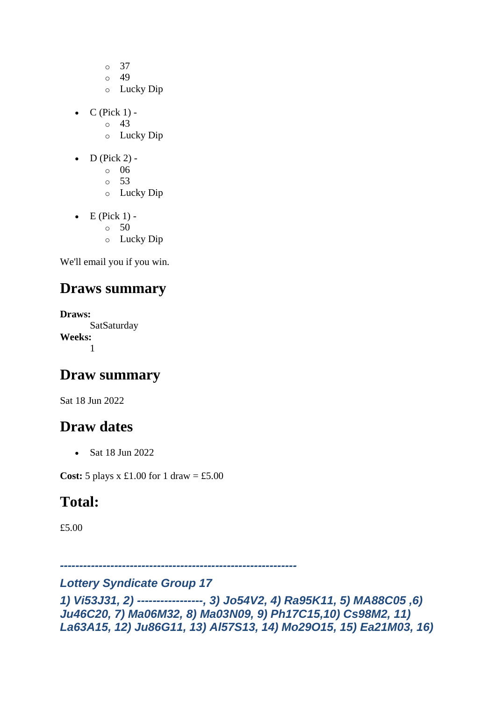- o 37
- $\circ$  49
- o Lucky Dip
- $C$  (Pick 1) -
	- $\circ$  43
	- o Lucky Dip
- $\bullet$  D (Pick 2) -
	- $\circ$  06
	- o 53
	- o Lucky Dip
- $\bullet$  E (Pick 1) -
	- $\circ$  50
	- o Lucky Dip

### **Draws summary**

**Draws:** SatSaturday **Weeks:** 1

### **Draw summary**

Sat 18 Jun 2022

### **Draw dates**

• Sat 18 Jun 2022

**Cost:**  $5$  plays x £1.00 for 1 draw = £5.00

### **Total:**

£5.00

*-------------------------------------------------------------*

#### *Lottery Syndicate Group 17*

*1) Vi53J31, 2) -----------------, 3) Jo54V2, 4) Ra95K11, 5) MA88C05 ,6) Ju46C20, 7) Ma06M32, 8) Ma03N09, 9) Ph17C15,10) Cs98M2, 11) La63A15, 12) Ju86G11, 13) Al57S13, 14) Mo29O15, 15) Ea21M03, 16)*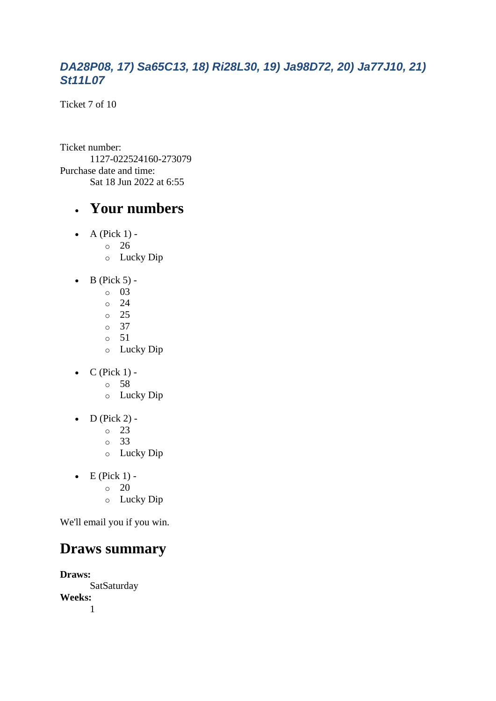#### *DA28P08, 17) Sa65C13, 18) Ri28L30, 19) Ja98D72, 20) Ja77J10, 21) St11L07*

Ticket 7 of 10

Ticket number: 1127-022524160-273079 Purchase date and time: Sat 18 Jun 2022 at 6:55

#### • **Your numbers**

- $\bullet$  A (Pick 1)
	- o 26
		- o Lucky Dip
- $\bullet$  B (Pick 5) -
	- $\circ$  03
	- $\circ$  24
	- o 25
	- o 37
	- o 51 o Lucky Dip
- $\bullet$  C (Pick 1)
	- o 58
	- o Lucky Dip
- $\bullet$  D (Pick 2) -
	- $\circ$  23
	- o 33
	- o Lucky Dip
- $\bullet$  E (Pick 1) -
	- $\circ$  20
	- o Lucky Dip

We'll email you if you win.

### **Draws summary**

**Draws: SatSaturday Weeks:** 1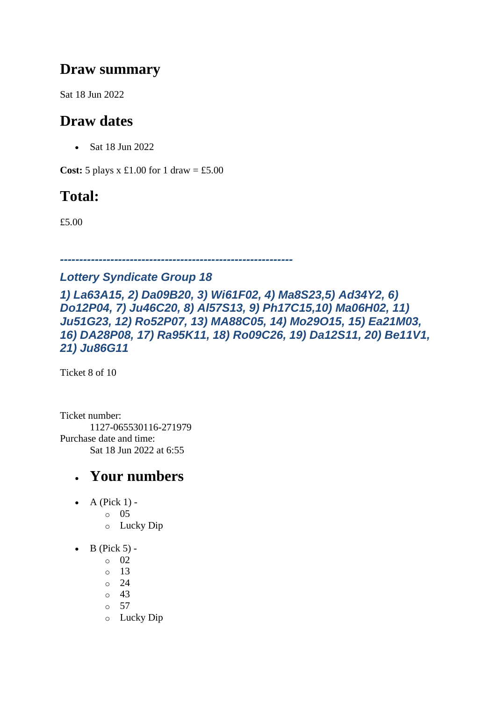### **Draw summary**

Sat 18 Jun 2022

### **Draw dates**

• Sat 18 Jun 2022

**Cost:**  $5$  plays x £1.00 for 1 draw = £5.00

## **Total:**

£5.00

#### *------------------------------------------------------------*

#### *Lottery Syndicate Group 18*

*1) La63A15, 2) Da09B20, 3) Wi61F02, 4) Ma8S23,5) Ad34Y2, 6) Do12P04, 7) Ju46C20, 8) Al57S13, 9) Ph17C15,10) Ma06H02, 11) Ju51G23, 12) Ro52P07, 13) MA88C05, 14) Mo29O15, 15) Ea21M03, 16) DA28P08, 17) Ra95K11, 18) Ro09C26, 19) Da12S11, 20) Be11V1, 21) Ju86G11*

Ticket 8 of 10

Ticket number: 1127-065530116-271979 Purchase date and time: Sat 18 Jun 2022 at 6:55

- A (Pick  $1$ )
	- o 05
	- o Lucky Dip
- $\bullet$  B (Pick 5)
	- o 02
	- o 13
	- o 24
	- o 43
	- o 57
	- o Lucky Dip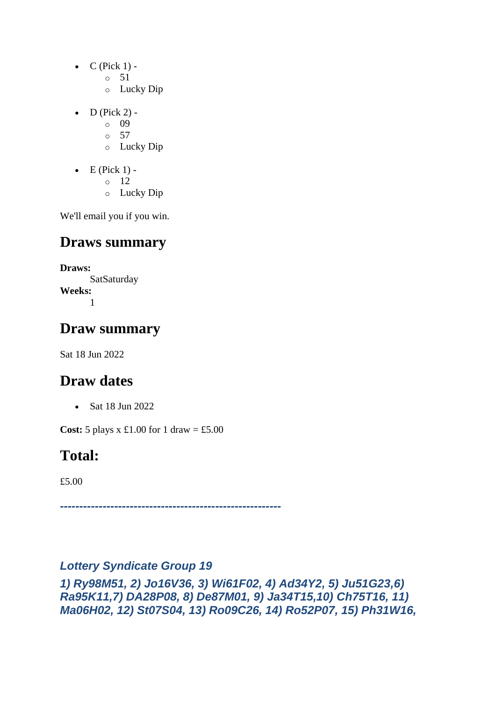- $\bullet$  C (Pick 1) -
	- $\circ$  51
	- o Lucky Dip
- $D$  (Pick 2)
	- o 09
	- $\circ$  57
	- o Lucky Dip
- $\bullet$  E (Pick 1)
	- o 12
	- o Lucky Dip

### **Draws summary**

**Draws: SatSaturday Weeks:** 1

### **Draw summary**

Sat 18 Jun 2022

## **Draw dates**

• Sat 18 Jun 2022

**Cost:**  $5$  plays x £1.00 for 1 draw = £5.00

## **Total:**

£5.00

*---------------------------------------------------------*

#### *Lottery Syndicate Group 19*

*1) Ry98M51, 2) Jo16V36, 3) Wi61F02, 4) Ad34Y2, 5) Ju51G23,6) Ra95K11,7) DA28P08, 8) De87M01, 9) Ja34T15,10) Ch75T16, 11) Ma06H02, 12) St07S04, 13) Ro09C26, 14) Ro52P07, 15) Ph31W16,*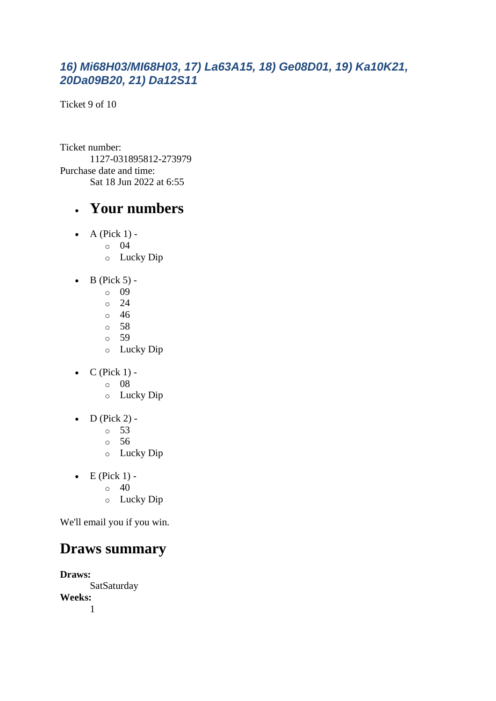#### *16) Mi68H03/MI68H03, 17) La63A15, 18) Ge08D01, 19) Ka10K21, 20Da09B20, 21) Da12S11*

Ticket 9 of 10

Ticket number: 1127-031895812-273979 Purchase date and time: Sat 18 Jun 2022 at 6:55

### • **Your numbers**

- $\bullet$  A (Pick 1)
	- o 04
		- o Lucky Dip
- $\bullet$  B (Pick 5)
	- o 09
	- $\circ$  24
	- o 46
	- o 58
	- o 59
	- o Lucky Dip
- $\bullet$  C (Pick 1)
	- o 08
	- o Lucky Dip
- $\bullet$  D (Pick 2)
	- o 53
	- o 56
	- o Lucky Dip
- $\bullet$  E (Pick 1) -
	- $\circ$  40
	- o Lucky Dip

We'll email you if you win.

## **Draws summary**

**Draws:** SatSaturday **Weeks:** 1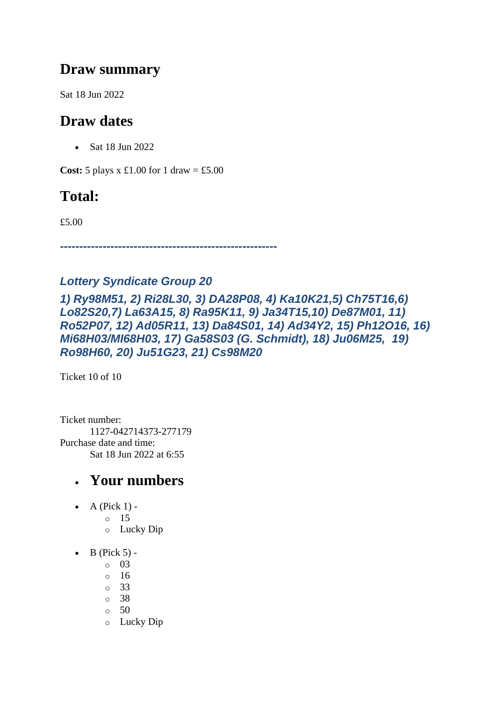### **Draw summary**

Sat 18 Jun 2022

### **Draw dates**

• Sat 18 Jun 2022

**Cost:**  $5$  plays x £1.00 for 1 draw = £5.00

### **Total:**

£5.00

*--------------------------------------------------------*

#### *Lottery Syndicate Group 20*

*1) Ry98M51, 2) Ri28L30, 3) DA28P08, 4) Ka10K21,5) Ch75T16,6) Lo82S20,7) La63A15, 8) Ra95K11, 9) Ja34T15,10) De87M01, 11) Ro52P07, 12) Ad05R11, 13) Da84S01, 14) Ad34Y2, 15) Ph12O16, 16) Mi68H03/MI68H03, 17) Ga58S03 (G. Schmidt), 18) Ju06M25, 19) Ro98H60, 20) Ju51G23, 21) Cs98M20*

Ticket 10 of 10

Ticket number: 1127-042714373-277179 Purchase date and time: Sat 18 Jun 2022 at 6:55

- A (Pick  $1$ ) -
	- $\circ$  15
		- o Lucky Dip
- $\bullet$  B (Pick 5)
	- o 03
	- o 16
	- o 33
	- o 38
	- o 50
	- o Lucky Dip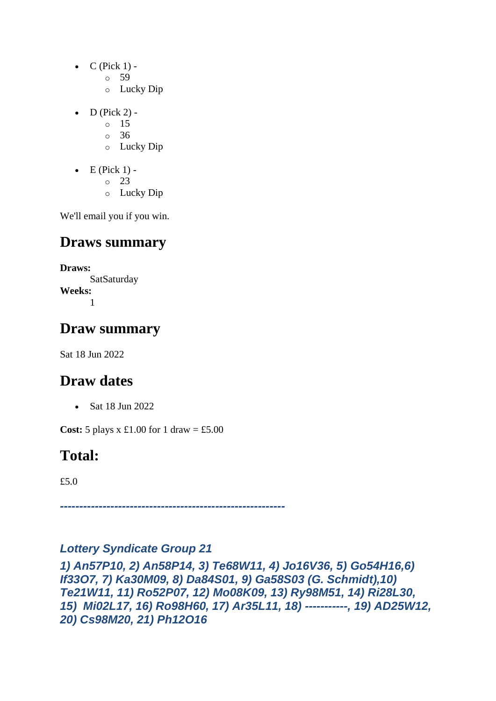- $\bullet$  C (Pick 1)
	- o 59
	- o Lucky Dip
- $D$  (Pick 2)
	- o 15
	- o 36
	- o Lucky Dip
- $\bullet$  E (Pick 1)
	- o 23
	- o Lucky Dip

### **Draws summary**

**Draws: SatSaturday Weeks:** 1

### **Draw summary**

Sat 18 Jun 2022

### **Draw dates**

• Sat 18 Jun 2022

**Cost:**  $5$  plays x £1.00 for 1 draw = £5.00

### **Total:**

£5.0

*----------------------------------------------------------*

#### *Lottery Syndicate Group 21*

*1) An57P10, 2) An58P14, 3) Te68W11, 4) Jo16V36, 5) Go54H16,6) If33O7, 7) Ka30M09, 8) Da84S01, 9) Ga58S03 (G. Schmidt),10) Te21W11, 11) Ro52P07, 12) Mo08K09, 13) Ry98M51, 14) Ri28L30, 15) Mi02L17, 16) Ro98H60, 17) Ar35L11, 18) -----------, 19) AD25W12, 20) Cs98M20, 21) Ph12O16*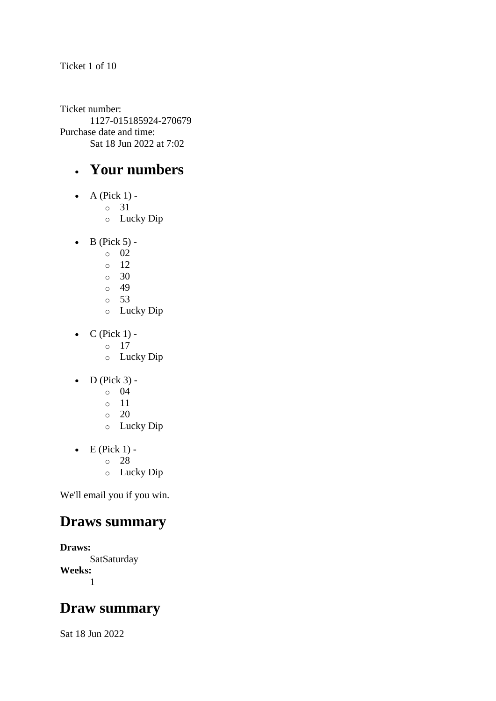Ticket 1 of 10

Ticket number: 1127-015185924-270679 Purchase date and time: Sat 18 Jun 2022 at 7:02

### • **Your numbers**

- $\bullet$  A (Pick 1)
	- o 31
	- o Lucky Dip
- $\bullet$  B (Pick 5)
	- o 02
	- $\circ$  12
	- o 30
	- $\circ$  49
	- o 53
	- o Lucky Dip
- $\bullet$  C (Pick 1)
	- o 17
	- o Lucky Dip
- $\bullet$  D (Pick 3)
	- o 04
	- o 11
	- $\circ$  20
	- o Lucky Dip
- $\bullet$  E (Pick 1)
	- o 28
	- o Lucky Dip

We'll email you if you win.

### **Draws summary**

**Draws: SatSaturday Weeks:** 1

### **Draw summary**

Sat 18 Jun 2022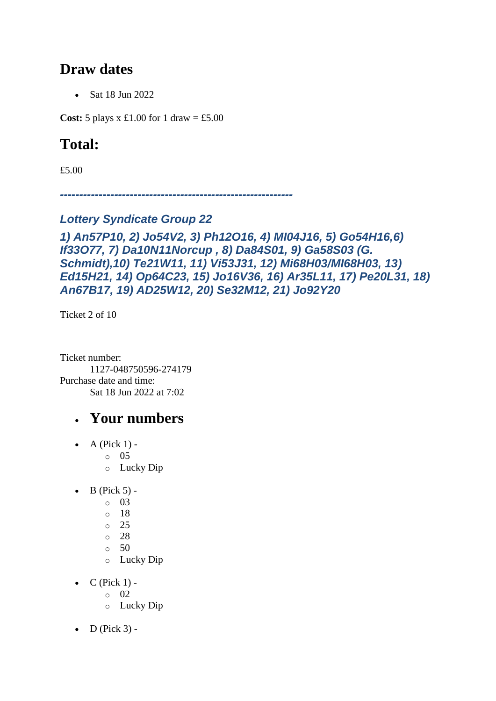#### **Draw dates**

• Sat 18 Jun 2022

**Cost:** 5 plays x £1.00 for 1 draw = £5.00

### **Total:**

£5.00

*------------------------------------------------------------*

#### *Lottery Syndicate Group 22*

#### *1) An57P10, 2) Jo54V2, 3) Ph12O16, 4) MI04J16, 5) Go54H16,6) If33O77, 7) Da10N11Norcup , 8) Da84S01, 9) Ga58S03 (G. Schmidt),10) Te21W11, 11) Vi53J31, 12) Mi68H03/MI68H03, 13) Ed15H21, 14) Op64C23, 15) Jo16V36, 16) Ar35L11, 17) Pe20L31, 18) An67B17, 19) AD25W12, 20) Se32M12, 21) Jo92Y20*

Ticket 2 of 10

Ticket number: 1127-048750596-274179 Purchase date and time: Sat 18 Jun 2022 at 7:02

- A (Pick  $1$ ) -
	- $\circ$  05
	- o Lucky Dip
- $\bullet$  B (Pick 5)
	- o 03
	- o 18
	- o 25
	- o 28
	- $\circ$  50
	- o Lucky Dip
- $C$  (Pick 1) -
	- $\circ$  02
	- o Lucky Dip
- $D$  (Pick 3) -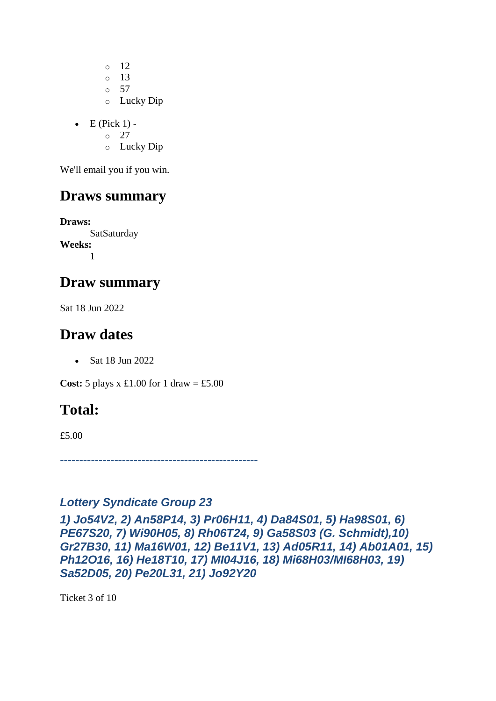$\circ$  12 o 13 o 57 o Lucky Dip

 $\bullet$  E (Pick 1) -

 $\circ$  27

o Lucky Dip

We'll email you if you win.

#### **Draws summary**

**Draws: SatSaturday Weeks:** 1

#### **Draw summary**

Sat 18 Jun 2022

#### **Draw dates**

• Sat 18 Jun 2022

**Cost:**  $5$  plays x £1.00 for 1 draw = £5.00

### **Total:**

£5.00

*---------------------------------------------------*

#### *Lottery Syndicate Group 23*

*1) Jo54V2, 2) An58P14, 3) Pr06H11, 4) Da84S01, 5) Ha98S01, 6) PE67S20, 7) Wi90H05, 8) Rh06T24, 9) Ga58S03 (G. Schmidt),10) Gr27B30, 11) Ma16W01, 12) Be11V1, 13) Ad05R11, 14) Ab01A01, 15) Ph12O16, 16) He18T10, 17) MI04J16, 18) Mi68H03/MI68H03, 19) Sa52D05, 20) Pe20L31, 21) Jo92Y20*

Ticket 3 of 10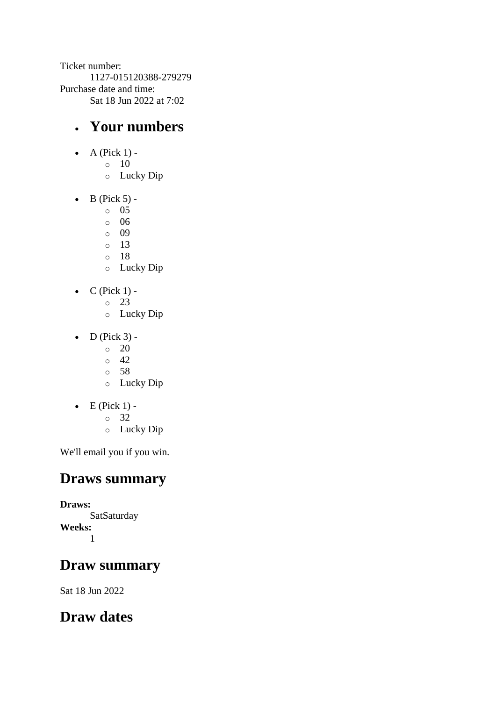Ticket number: 1127-015120388-279279 Purchase date and time: Sat 18 Jun 2022 at 7:02

### • **Your numbers**

- $\bullet$  A (Pick 1)
	- o 10
		- o Lucky Dip
- $\bullet$  B (Pick 5)
	- o 05
	- o 06
	- o 09
	- o 13
	- o 18
	- o Lucky Dip
- $\bullet$  C (Pick 1) -
	- $\circ$  23
	- o Lucky Dip
- $\bullet$  D (Pick 3) -
	- $\circ$  20
	- $\circ$  42
	- o 58
	- o Lucky Dip
- $\bullet$  E (Pick 1)
	- o 32
		- o Lucky Dip

We'll email you if you win.

### **Draws summary**

**Draws: SatSaturday Weeks:** 1

### **Draw summary**

Sat 18 Jun 2022

### **Draw dates**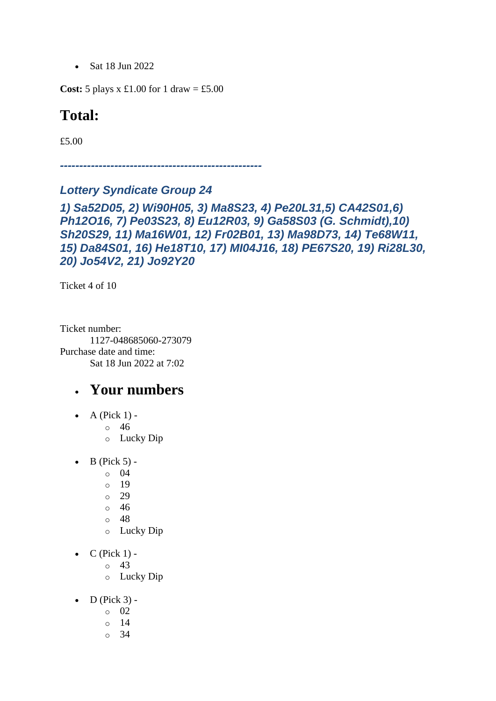• Sat 18 Jun 2022

**Cost:** 5 plays x £1.00 for 1 draw = £5.00

#### **Total:**

£5.00

*----------------------------------------------------*

#### *Lottery Syndicate Group 24*

*1) Sa52D05, 2) Wi90H05, 3) Ma8S23, 4) Pe20L31,5) CA42S01,6) Ph12O16, 7) Pe03S23, 8) Eu12R03, 9) Ga58S03 (G. Schmidt),10) Sh20S29, 11) Ma16W01, 12) Fr02B01, 13) Ma98D73, 14) Te68W11, 15) Da84S01, 16) He18T10, 17) MI04J16, 18) PE67S20, 19) Ri28L30, 20) Jo54V2, 21) Jo92Y20*

Ticket 4 of 10

Ticket number: 1127-048685060-273079 Purchase date and time: Sat 18 Jun 2022 at 7:02

### • **Your numbers**

 $\bullet$  A (Pick 1) -

o 46

- o Lucky Dip
- $\bullet$  B (Pick 5) -
	- $\circ$  04
	- o 19
	- o 29
	- o 46
	- o 48
	- o Lucky Dip
- $\bullet$  C (Pick 1) -
	- $\circ$  43
		- o Lucky Dip
- $\bullet$  D (Pick 3)
	- o 02
	- o 14
	- $\circ$  34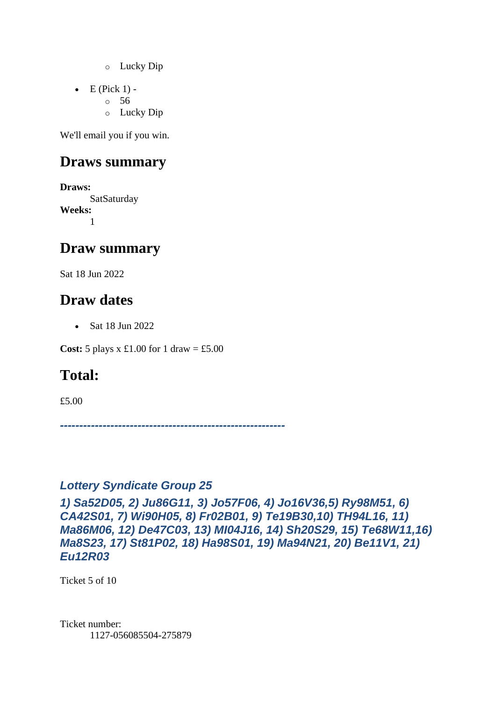- o Lucky Dip
- $\bullet$  E (Pick 1)
	- o 56
		- o Lucky Dip

#### **Draws summary**

**Draws:** SatSaturday **Weeks:** 1

#### **Draw summary**

Sat 18 Jun 2022

### **Draw dates**

• Sat 18 Jun 2022

**Cost:**  $5$  plays x £1.00 for 1 draw = £5.00

### **Total:**

£5.00

*----------------------------------------------------------*

#### *Lottery Syndicate Group 25*

*1) Sa52D05, 2) Ju86G11, 3) Jo57F06, 4) Jo16V36,5) Ry98M51, 6) CA42S01, 7) Wi90H05, 8) Fr02B01, 9) Te19B30,10) TH94L16, 11) Ma86M06, 12) De47C03, 13) MI04J16, 14) Sh20S29, 15) Te68W11,16) Ma8S23, 17) St81P02, 18) Ha98S01, 19) Ma94N21, 20) Be11V1, 21) Eu12R03*

Ticket 5 of 10

Ticket number: 1127-056085504-275879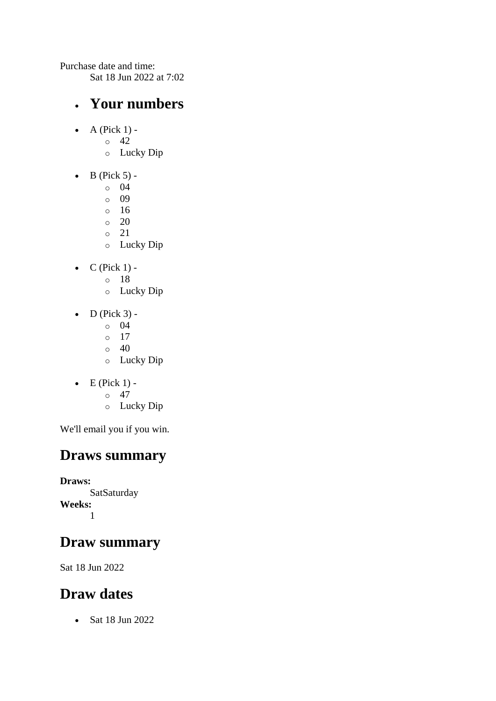Purchase date and time:

Sat 18 Jun 2022 at 7:02

#### • **Your numbers**

- $\bullet$  A (Pick 1)
	- o 42
		- o Lucky Dip
- $\bullet$  B (Pick 5)
	- o 04
	- $\circ$  09
	- o 16
	- $\circ$  20
	- o 21
	- o Lucky Dip
- $\bullet$  C (Pick 1)
	- o 18
	- o Lucky Dip
- $\bullet$  D (Pick 3) -
	- $\circ$  04
	- o 17
	- $\circ$  40
	- o Lucky Dip
- $\bullet$  E (Pick 1) -
	- $\circ$  47
	- o Lucky Dip

We'll email you if you win.

### **Draws summary**

**Draws: SatSaturday Weeks:** 1

## **Draw summary**

Sat 18 Jun 2022

## **Draw dates**

• Sat 18 Jun 2022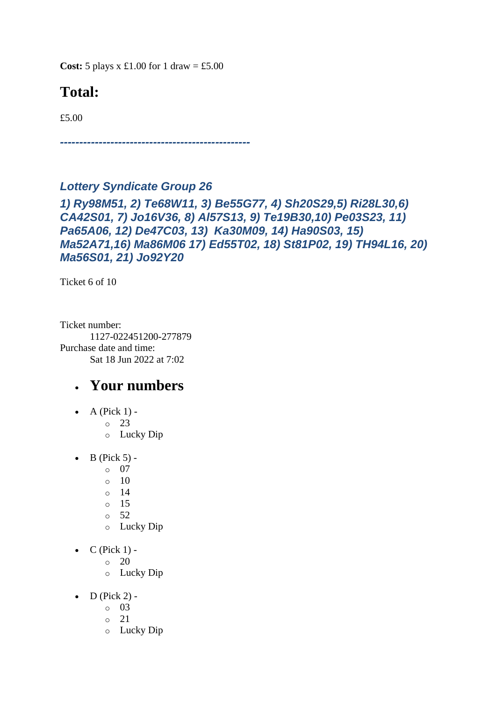**Cost:**  $5$  plays x £1.00 for 1 draw = £5.00

## **Total:**

£5.00

*-------------------------------------------------*

#### *Lottery Syndicate Group 26*

*1) Ry98M51, 2) Te68W11, 3) Be55G77, 4) Sh20S29,5) Ri28L30,6) CA42S01, 7) Jo16V36, 8) Al57S13, 9) Te19B30,10) Pe03S23, 11) Pa65A06, 12) De47C03, 13) Ka30M09, 14) Ha90S03, 15) Ma52A71,16) Ma86M06 17) Ed55T02, 18) St81P02, 19) TH94L16, 20) Ma56S01, 21) Jo92Y20*

Ticket 6 of 10

Ticket number: 1127-022451200-277879 Purchase date and time: Sat 18 Jun 2022 at 7:02

- $\bullet$  A (Pick 1)
	- o 23
	- o Lucky Dip
- $\bullet$  B (Pick 5)
	- o 07
	- $\circ$  10
	- o 14
	- o 15
	- $\circ$  52
	- o Lucky Dip
- $C$  (Pick 1) -
	- $\circ$  20
	- o Lucky Dip
- $\bullet$  D (Pick 2) -
	- $\circ$  03
		- $\circ$  21
		- o Lucky Dip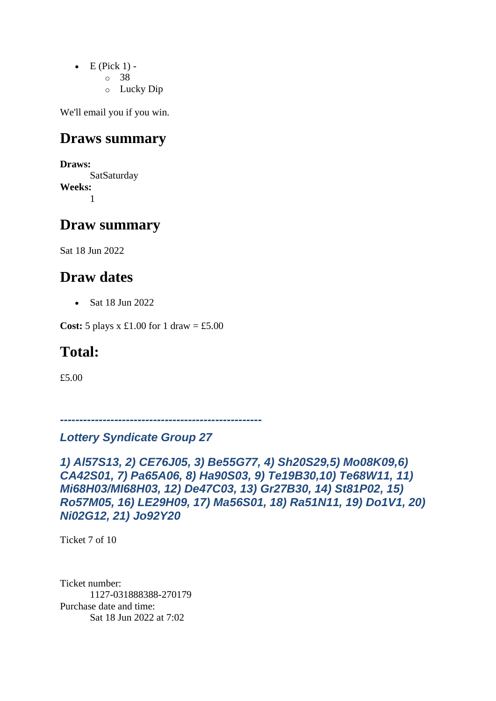- $\bullet$  E (Pick 1)
	- o 38
	- o Lucky Dip

#### **Draws summary**

**Draws:** SatSaturday **Weeks:** 1

#### **Draw summary**

Sat 18 Jun 2022

### **Draw dates**

• Sat 18 Jun 2022

**Cost:** 5 plays x £1.00 for 1 draw = £5.00

### **Total:**

£5.00

*----------------------------------------------------*

#### *Lottery Syndicate Group 27*

*1) Al57S13, 2) CE76J05, 3) Be55G77, 4) Sh20S29,5) Mo08K09,6) CA42S01, 7) Pa65A06, 8) Ha90S03, 9) Te19B30,10) Te68W11, 11) Mi68H03/MI68H03, 12) De47C03, 13) Gr27B30, 14) St81P02, 15) Ro57M05, 16) LE29H09, 17) Ma56S01, 18) Ra51N11, 19) Do1V1, 20) Ni02G12, 21) Jo92Y20*

Ticket 7 of 10

Ticket number: 1127-031888388-270179 Purchase date and time: Sat 18 Jun 2022 at 7:02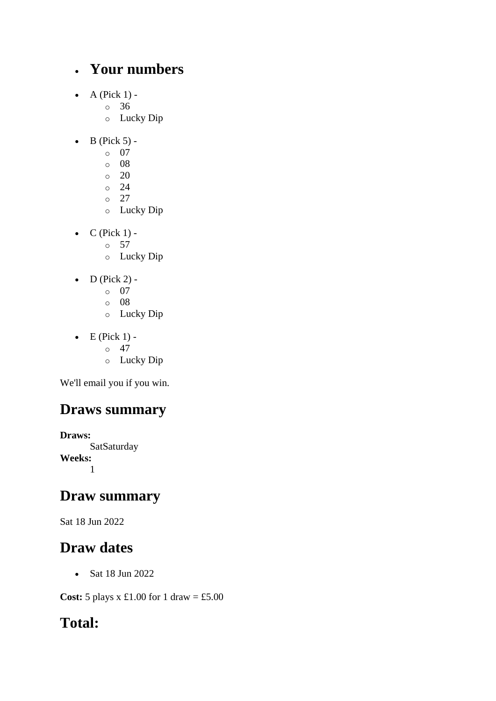### • **Your numbers**

- $\bullet$  A (Pick 1)
	- o 36
	- o Lucky Dip
- $\bullet$  B (Pick 5)
	- o 07
	- o 08
	- $\circ$  20
	- $\circ$  24
	- $\circ$  27
	- o Lucky Dip
- $\bullet$  C (Pick 1) -
	- $\circ$  57
	- o Lucky Dip
- $\bullet$  D (Pick 2)
	- o 07
	- o 08
	- o Lucky Dip
- $\bullet$  E (Pick 1) -
	- $\circ$  47
	- o Lucky Dip

We'll email you if you win.

## **Draws summary**

**Draws: SatSaturday Weeks:** 1

### **Draw summary**

Sat 18 Jun 2022

### **Draw dates**

• Sat 18 Jun 2022

**Cost:** 5 plays x £1.00 for 1 draw = £5.00

## **Total:**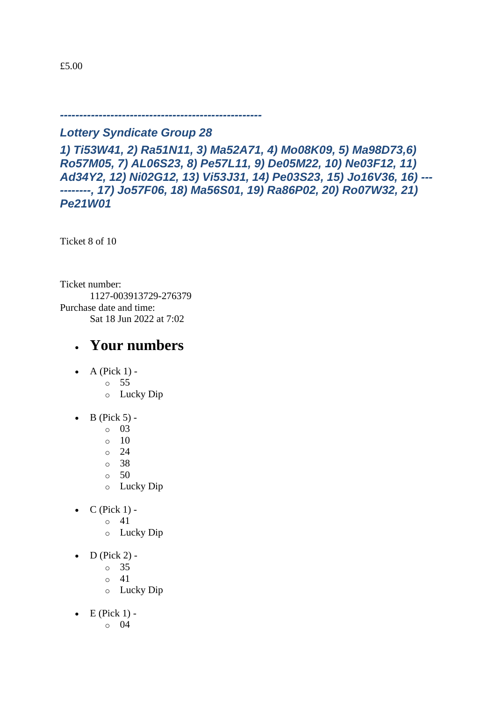*Lottery Syndicate Group 28*

*----------------------------------------------------*

*1) Ti53W41, 2) Ra51N11, 3) Ma52A71, 4) Mo08K09, 5) Ma98D73,6) Ro57M05, 7) AL06S23, 8) Pe57L11, 9) De05M22, 10) Ne03F12, 11) Ad34Y2, 12) Ni02G12, 13) Vi53J31, 14) Pe03S23, 15) Jo16V36, 16) --- --------, 17) Jo57F06, 18) Ma56S01, 19) Ra86P02, 20) Ro07W32, 21) Pe21W01*

Ticket 8 of 10

Ticket number: 1127-003913729-276379 Purchase date and time: Sat 18 Jun 2022 at 7:02

- A (Pick  $1$ )
	- o 55
	- o Lucky Dip
- $\bullet$  B (Pick 5)
	- o 03
	- $\circ$  10
	- o 24
	- o 38
	- o 50
	- o Lucky Dip
- $C$  (Pick 1) -
	- $\circ$  41
		- o Lucky Dip
- $\bullet$  D (Pick 2)
	- o 35
	- o 41
	- o Lucky Dip
- $\bullet$  E (Pick 1)
	- o 04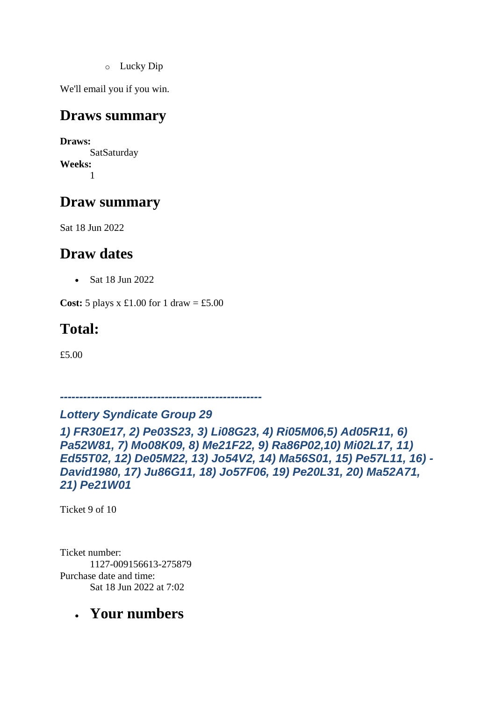o Lucky Dip

We'll email you if you win.

#### **Draws summary**

**Draws: SatSaturday Weeks:** 1

### **Draw summary**

Sat 18 Jun 2022

### **Draw dates**

• Sat 18 Jun 2022

**Cost:**  $5$  plays x £1.00 for 1 draw = £5.00

### **Total:**

£5.00

*----------------------------------------------------*

#### *Lottery Syndicate Group 29*

*1) FR30E17, 2) Pe03S23, 3) Li08G23, 4) Ri05M06,5) Ad05R11, 6) Pa52W81, 7) Mo08K09, 8) Me21F22, 9) Ra86P02,10) Mi02L17, 11) Ed55T02, 12) De05M22, 13) Jo54V2, 14) Ma56S01, 15) Pe57L11, 16) - David1980, 17) Ju86G11, 18) Jo57F06, 19) Pe20L31, 20) Ma52A71, 21) Pe21W01*

Ticket 9 of 10

Ticket number: 1127-009156613-275879 Purchase date and time: Sat 18 Jun 2022 at 7:02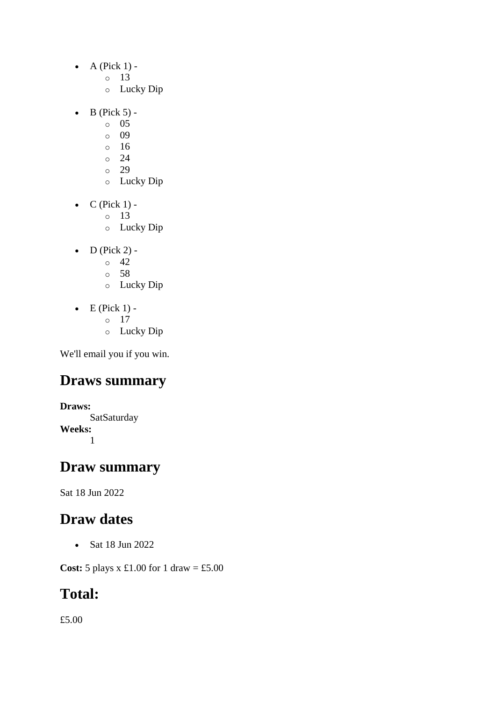- $\bullet$  A (Pick 1)
	- o 13
	- o Lucky Dip
- $\bullet$  B (Pick 5) -
	- $\circ$  05
	- o 09
	- o 16
	- o 24
	- $\degree$  29
	- o Lucky Dip
- $\bullet$  C (Pick 1)
	- o 13
	- o Lucky Dip
- $\bullet$  D (Pick 2) -
	- $\circ$  42
	- o 58
	- o Lucky Dip
- $\bullet$  E (Pick 1)
	- o 17
	- o Lucky Dip

### **Draws summary**

**Draws: SatSaturday Weeks:** 1

#### **Draw summary**

Sat 18 Jun 2022

### **Draw dates**

• Sat 18 Jun 2022

**Cost:** 5 plays x £1.00 for 1 draw = £5.00

### **Total:**

£5.00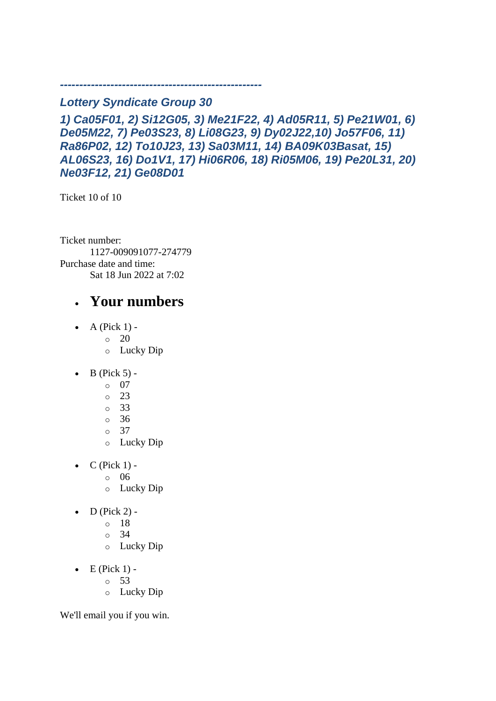#### *Lottery Syndicate Group 30*

*----------------------------------------------------*

*1) Ca05F01, 2) Si12G05, 3) Me21F22, 4) Ad05R11, 5) Pe21W01, 6) De05M22, 7) Pe03S23, 8) Li08G23, 9) Dy02J22,10) Jo57F06, 11) Ra86P02, 12) To10J23, 13) Sa03M11, 14) BA09K03Basat, 15) AL06S23, 16) Do1V1, 17) Hi06R06, 18) Ri05M06, 19) Pe20L31, 20) Ne03F12, 21) Ge08D01*

Ticket 10 of 10

Ticket number: 1127-009091077-274779 Purchase date and time: Sat 18 Jun 2022 at 7:02

#### • **Your numbers**

- $\bullet$  A (Pick 1) -
	- $\circ$  20
	- o Lucky Dip
- $\bullet$  B (Pick 5)
	- o 07
	- o 23
	- o 33
	- o 36
	- o 37
	- o Lucky Dip
- $C$  (Pick 1)
	- o 06
	- o Lucky Dip
- $\bullet$  D (Pick 2)
	- o 18
	- o 34
	- o Lucky Dip
- $\bullet$  E (Pick 1) -
	- $\circ$  53
	- o Lucky Dip

We'll email you if you win.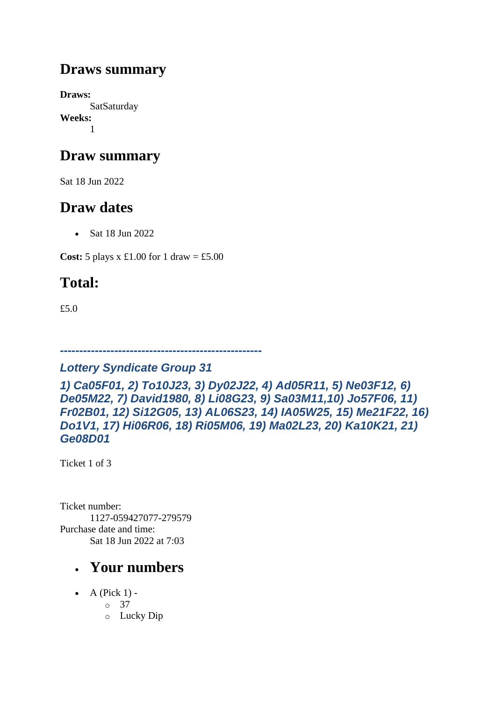### **Draws summary**

**Draws: SatSaturday Weeks:** 1

### **Draw summary**

Sat 18 Jun 2022

### **Draw dates**

• Sat 18 Jun 2022

**Cost:** 5 plays x £1.00 for 1 draw = £5.00

## **Total:**

£5.0

*----------------------------------------------------*

#### *Lottery Syndicate Group 31*

*1) Ca05F01, 2) To10J23, 3) Dy02J22, 4) Ad05R11, 5) Ne03F12, 6) De05M22, 7) David1980, 8) Li08G23, 9) Sa03M11,10) Jo57F06, 11) Fr02B01, 12) Si12G05, 13) AL06S23, 14) IA05W25, 15) Me21F22, 16) Do1V1, 17) Hi06R06, 18) Ri05M06, 19) Ma02L23, 20) Ka10K21, 21) Ge08D01*

Ticket 1 of 3

Ticket number: 1127-059427077-279579 Purchase date and time: Sat 18 Jun 2022 at 7:03

- A (Pick  $1$ )
	- o 37
		- o Lucky Dip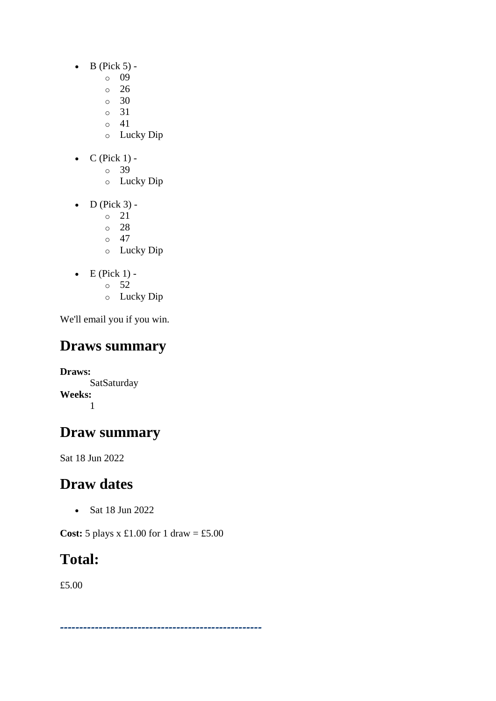- $\bullet$  B (Pick 5)
	- o 09
	- o 26
	- $\circ$  30
	- o 31
	- o 41
	- o Lucky Dip
- $C$  (Pick 1)
	- o 39
		- o Lucky Dip
- $\bullet$  D (Pick 3)
	- o 21
	- o 28
	- $\circ$  47
	- o Lucky Dip
- $\bullet$  E (Pick 1)
	- o 52
	- o Lucky Dip

## **Draws summary**

**Draws: SatSaturday Weeks:** 1

## **Draw summary**

Sat 18 Jun 2022

## **Draw dates**

• Sat 18 Jun 2022

**Cost:** 5 plays x £1.00 for 1 draw = £5.00

*----------------------------------------------------*

## **Total:**

£5.00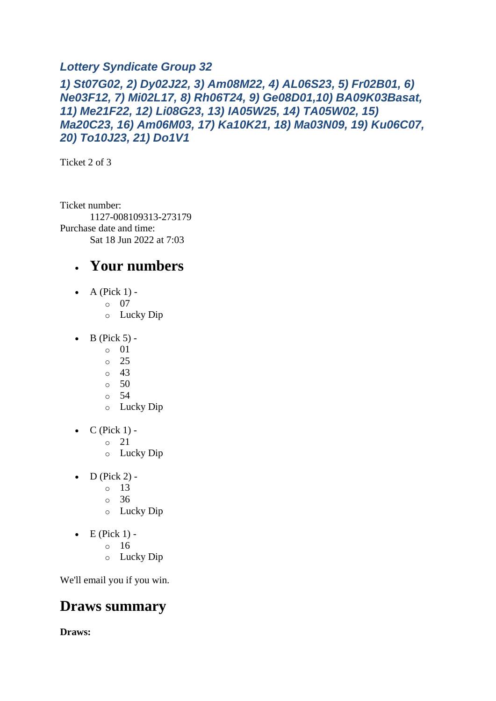#### *Lottery Syndicate Group 32*

#### *1) St07G02, 2) Dy02J22, 3) Am08M22, 4) AL06S23, 5) Fr02B01, 6) Ne03F12, 7) Mi02L17, 8) Rh06T24, 9) Ge08D01,10) BA09K03Basat, 11) Me21F22, 12) Li08G23, 13) IA05W25, 14) TA05W02, 15) Ma20C23, 16) Am06M03, 17) Ka10K21, 18) Ma03N09, 19) Ku06C07, 20) To10J23, 21) Do1V1*

Ticket 2 of 3

Ticket number: 1127-008109313-273179 Purchase date and time: Sat 18 Jun 2022 at 7:03

### • **Your numbers**

- A (Pick  $1$ )
	- o 07
		- o Lucky Dip
- $\bullet$  B (Pick 5)
	- o 01
	- o 25
	- o 43
	- o 50
	- o 54
	- o Lucky Dip
- $\bullet$  C (Pick 1)
	- o 21
	- o Lucky Dip
- $\bullet$  D (Pick 2) -
	- $\circ$  13
	- o 36
	- o Lucky Dip
- $\bullet$  E (Pick 1)
	- o 16
	- o Lucky Dip

We'll email you if you win.

### **Draws summary**

**Draws:**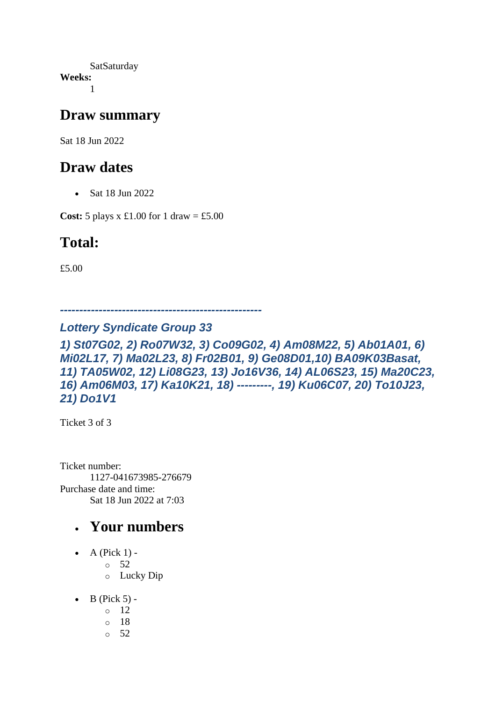**SatSaturday Weeks:** 1

#### **Draw summary**

Sat 18 Jun 2022

### **Draw dates**

• Sat 18 Jun 2022

**Cost:**  $5$  plays x £1.00 for 1 draw = £5.00

### **Total:**

£5.00

*----------------------------------------------------*

#### *Lottery Syndicate Group 33*

*1) St07G02, 2) Ro07W32, 3) Co09G02, 4) Am08M22, 5) Ab01A01, 6) Mi02L17, 7) Ma02L23, 8) Fr02B01, 9) Ge08D01,10) BA09K03Basat, 11) TA05W02, 12) Li08G23, 13) Jo16V36, 14) AL06S23, 15) Ma20C23, 16) Am06M03, 17) Ka10K21, 18) ---------, 19) Ku06C07, 20) To10J23, 21) Do1V1*

Ticket 3 of 3

Ticket number: 1127-041673985-276679 Purchase date and time: Sat 18 Jun 2022 at 7:03

- $\bullet$  A (Pick 1) -
	- $\circ$  52
		- o Lucky Dip
- $\bullet$  B (Pick 5) -
	- $\circ$  12
	- o 18
	- o 52